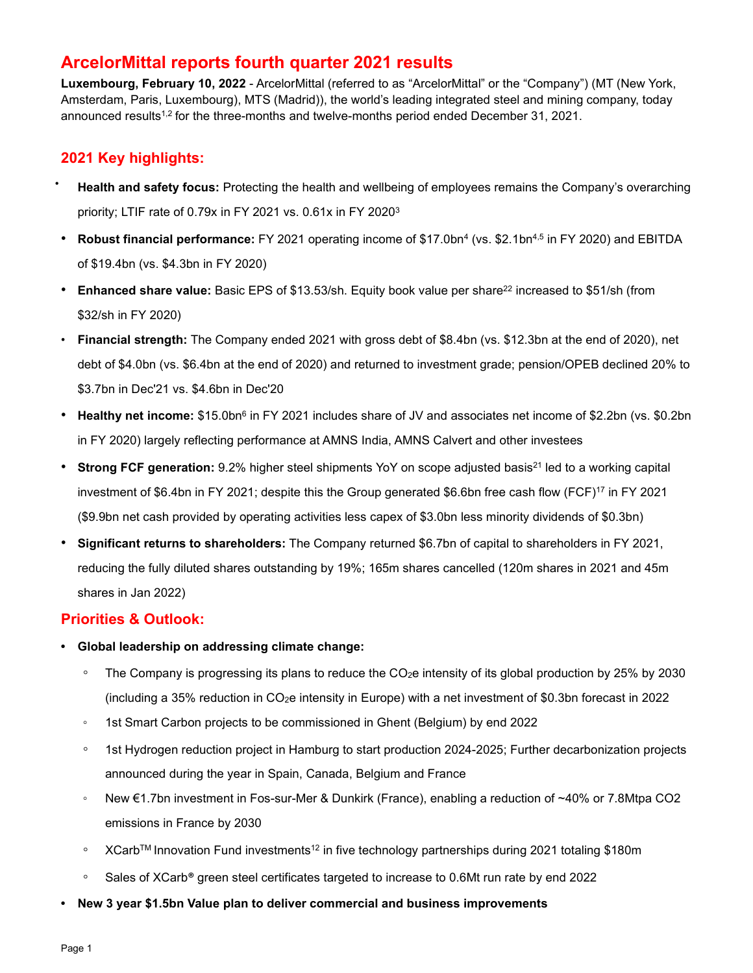# **ArcelorMittal reports fourth quarter 2021 results**

**Luxembourg, February 10, 2022** - ArcelorMittal (referred to as "ArcelorMittal" or the "Company") (MT (New York, Amsterdam, Paris, Luxembourg), MTS (Madrid)), the world's leading integrated steel and mining company, today announced results1,2 for the three-months and twelve-months period ended December 31, 2021.

# **2021 Key highlights:**

- **• Health and safety focus:** Protecting the health and wellbeing of employees remains the Company's overarching priority; LTIF rate of 0.79x in FY 2021 vs. 0.61x in FY 20203
- **Robust financial performance:** FY 2021 operating income of \$17.0bn4 (vs. \$2.1bn4,5 in FY 2020) and EBITDA of \$19.4bn (vs. \$4.3bn in FY 2020)
- Enhanced share value: Basic EPS of \$13.53/sh. Equity book value per share<sup>22</sup> increased to \$51/sh (from \$32/sh in FY 2020)
- **Financial strength:** The Company ended 2021 with gross debt of \$8.4bn (vs. \$12.3bn at the end of 2020), net debt of \$4.0bn (vs. \$6.4bn at the end of 2020) and returned to investment grade; pension/OPEB declined 20% to \$3.7bn in Dec'21 vs. \$4.6bn in Dec'20
- **Healthy net income:** \$15.0bn6 in FY 2021 includes share of JV and associates net income of \$2.2bn (vs. \$0.2bn in FY 2020) largely reflecting performance at AMNS India, AMNS Calvert and other investees
- **Strong FCF generation:** 9.2% higher steel shipments YoY on scope adjusted basis<sup>21</sup> led to a working capital investment of \$6.4bn in FY 2021; despite this the Group generated \$6.6bn free cash flow (FCF)<sup>17</sup> in FY 2021 (\$9.9bn net cash provided by operating activities less capex of \$3.0bn less minority dividends of \$0.3bn)
- **Significant returns to shareholders:** The Company returned \$6.7bn of capital to shareholders in FY 2021, reducing the fully diluted shares outstanding by 19%; 165m shares cancelled (120m shares in 2021 and 45m shares in Jan 2022)

# **Priorities & Outlook:**

- **• Global leadership on addressing climate change:**
	- The Company is progressing its plans to reduce the CO2e intensity of its global production by 25% by 2030 (including a 35% reduction in CO2e intensity in Europe) with a net investment of \$0.3bn forecast in 2022
	- 1st Smart Carbon projects to be commissioned in Ghent (Belgium) by end 2022
	- 1st Hydrogen reduction project in Hamburg to start production 2024-2025; Further decarbonization projects announced during the year in Spain, Canada, Belgium and France
	- New €1.7bn investment in Fos-sur-Mer & Dunkirk (France), enabling a reduction of ~40% or 7.8Mtpa CO2 emissions in France by 2030
	- XCarbTM Innovation Fund investments12 in five technology partnerships during 2021 totaling \$180m
	- Sales of XCarb**®** green steel certificates targeted to increase to 0.6Mt run rate by end 2022
- **• New 3 year \$1.5bn Value plan to deliver commercial and business improvements**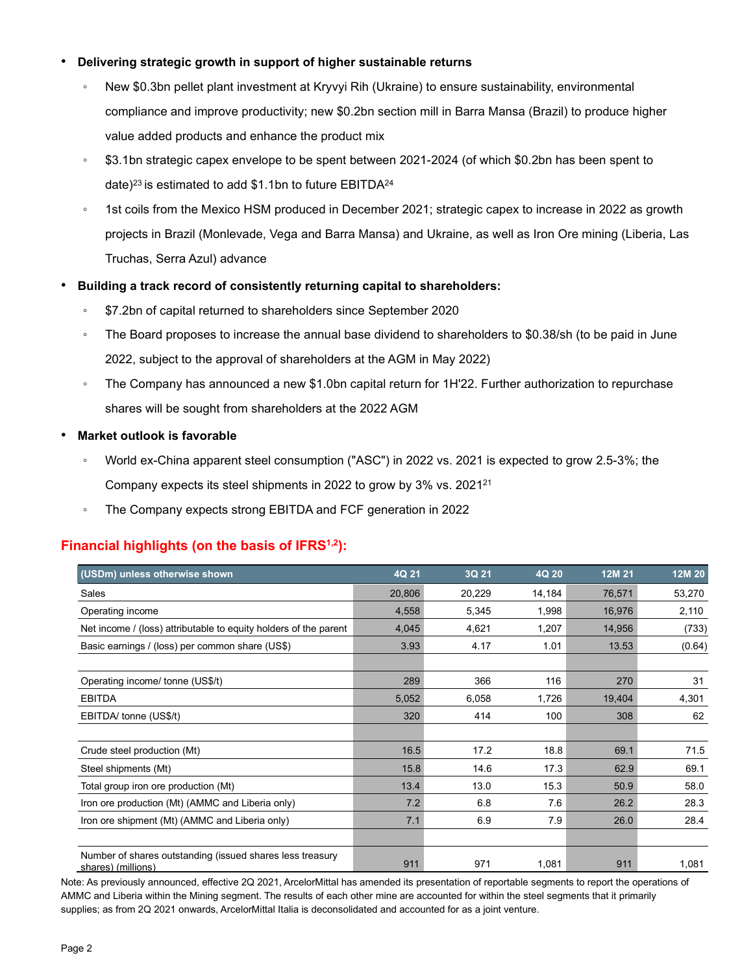#### • **Delivering strategic growth in support of higher sustainable returns**

- New \$0.3bn pellet plant investment at Kryvyi Rih (Ukraine) to ensure sustainability, environmental compliance and improve productivity; new \$0.2bn section mill in Barra Mansa (Brazil) to produce higher value added products and enhance the product mix
- \$3.1bn strategic capex envelope to be spent between 2021-2024 (of which \$0.2bn has been spent to date) $23$  is estimated to add \$1.1bn to future EBITDA $24$
- 1st coils from the Mexico HSM produced in December 2021; strategic capex to increase in 2022 as growth projects in Brazil (Monlevade, Vega and Barra Mansa) and Ukraine, as well as Iron Ore mining (Liberia, Las Truchas, Serra Azul) advance

#### • **Building a track record of consistently returning capital to shareholders:**

- \$7.2bn of capital returned to shareholders since September 2020
- The Board proposes to increase the annual base dividend to shareholders to \$0.38/sh (to be paid in June 2022, subject to the approval of shareholders at the AGM in May 2022)
- The Company has announced a new \$1.0bn capital return for 1H'22. Further authorization to repurchase shares will be sought from shareholders at the 2022 AGM
- **Market outlook is favorable**
	- World ex-China apparent steel consumption ("ASC") in 2022 vs. 2021 is expected to grow 2.5-3%; the Company expects its steel shipments in 2022 to grow by 3% vs. 202121
	- The Company expects strong EBITDA and FCF generation in 2022

# **Financial highlights (on the basis of IFRS1,2):**

| (USDm) unless otherwise shown                                                   | 4Q 21  | 3Q 21  | 4Q 20  | 12M 21 | 12M 20 |
|---------------------------------------------------------------------------------|--------|--------|--------|--------|--------|
| Sales                                                                           | 20,806 | 20,229 | 14,184 | 76,571 | 53,270 |
| Operating income                                                                | 4,558  | 5,345  | 1,998  | 16,976 | 2,110  |
| Net income / (loss) attributable to equity holders of the parent                | 4,045  | 4,621  | 1,207  | 14,956 | (733)  |
| Basic earnings / (loss) per common share (US\$)                                 | 3.93   | 4.17   | 1.01   | 13.53  | (0.64) |
|                                                                                 |        |        |        |        |        |
| Operating income/ tonne (US\$/t)                                                | 289    | 366    | 116    | 270    | 31     |
| <b>EBITDA</b>                                                                   | 5,052  | 6,058  | 1,726  | 19,404 | 4,301  |
| EBITDA/ tonne (US\$/t)                                                          | 320    | 414    | 100    | 308    | 62     |
|                                                                                 |        |        |        |        |        |
| Crude steel production (Mt)                                                     | 16.5   | 17.2   | 18.8   | 69.1   | 71.5   |
| Steel shipments (Mt)                                                            | 15.8   | 14.6   | 17.3   | 62.9   | 69.1   |
| Total group iron ore production (Mt)                                            | 13.4   | 13.0   | 15.3   | 50.9   | 58.0   |
| Iron ore production (Mt) (AMMC and Liberia only)                                | 7.2    | 6.8    | 7.6    | 26.2   | 28.3   |
| Iron ore shipment (Mt) (AMMC and Liberia only)                                  | 7.1    | 6.9    | 7.9    | 26.0   | 28.4   |
|                                                                                 |        |        |        |        |        |
| Number of shares outstanding (issued shares less treasury<br>shares) (millions) | 911    | 971    | 1,081  | 911    | 1,081  |

Note: As previously announced, effective 2Q 2021, ArcelorMittal has amended its presentation of reportable segments to report the operations of AMMC and Liberia within the Mining segment. The results of each other mine are accounted for within the steel segments that it primarily supplies; as from 2Q 2021 onwards, ArcelorMittal Italia is deconsolidated and accounted for as a joint venture.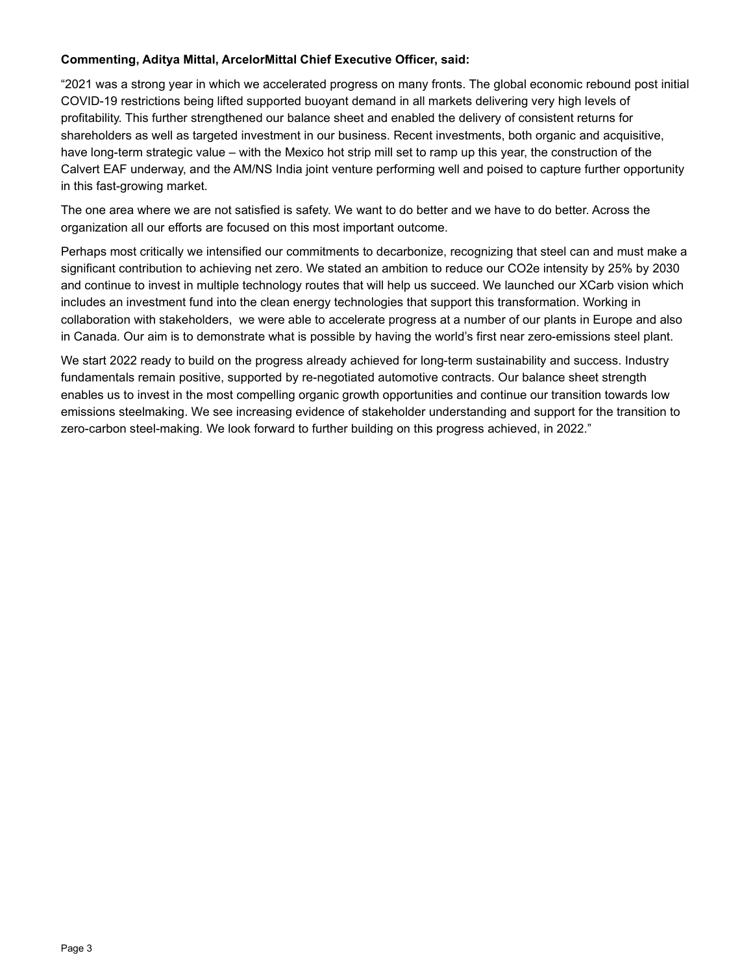### **Commenting, Aditya Mittal, ArcelorMittal Chief Executive Officer, said:**

"2021 was a strong year in which we accelerated progress on many fronts. The global economic rebound post initial COVID-19 restrictions being lifted supported buoyant demand in all markets delivering very high levels of profitability. This further strengthened our balance sheet and enabled the delivery of consistent returns for shareholders as well as targeted investment in our business. Recent investments, both organic and acquisitive, have long-term strategic value – with the Mexico hot strip mill set to ramp up this year, the construction of the Calvert EAF underway, and the AM/NS India joint venture performing well and poised to capture further opportunity in this fast-growing market.

The one area where we are not satisfied is safety. We want to do better and we have to do better. Across the organization all our efforts are focused on this most important outcome.

Perhaps most critically we intensified our commitments to decarbonize, recognizing that steel can and must make a significant contribution to achieving net zero. We stated an ambition to reduce our CO2e intensity by 25% by 2030 and continue to invest in multiple technology routes that will help us succeed. We launched our XCarb vision which includes an investment fund into the clean energy technologies that support this transformation. Working in collaboration with stakeholders, we were able to accelerate progress at a number of our plants in Europe and also in Canada. Our aim is to demonstrate what is possible by having the world's first near zero-emissions steel plant.

We start 2022 ready to build on the progress already achieved for long-term sustainability and success. Industry fundamentals remain positive, supported by re-negotiated automotive contracts. Our balance sheet strength enables us to invest in the most compelling organic growth opportunities and continue our transition towards low emissions steelmaking. We see increasing evidence of stakeholder understanding and support for the transition to zero-carbon steel-making. We look forward to further building on this progress achieved, in 2022."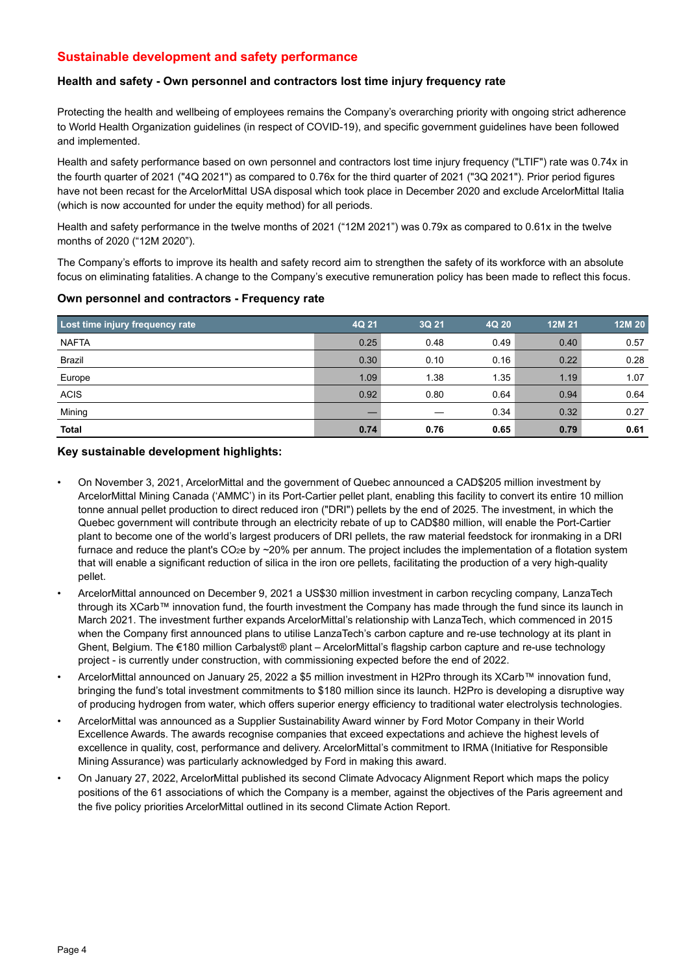## **Sustainable development and safety performance**

#### **Health and safety - Own personnel and contractors lost time injury frequency rate**

Protecting the health and wellbeing of employees remains the Company's overarching priority with ongoing strict adherence to World Health Organization guidelines (in respect of COVID-19), and specific government guidelines have been followed and implemented.

Health and safety performance based on own personnel and contractors lost time injury frequency ("LTIF") rate was 0.74x in the fourth quarter of 2021 ("4Q 2021") as compared to 0.76x for the third quarter of 2021 ("3Q 2021"). Prior period figures have not been recast for the ArcelorMittal USA disposal which took place in December 2020 and exclude ArcelorMittal Italia (which is now accounted for under the equity method) for all periods.

Health and safety performance in the twelve months of 2021 ("12M 2021") was 0.79x as compared to 0.61x in the twelve months of 2020 ("12M 2020").

The Company's efforts to improve its health and safety record aim to strengthen the safety of its workforce with an absolute focus on eliminating fatalities. A change to the Company's executive remuneration policy has been made to reflect this focus.

#### **Own personnel and contractors - Frequency rate**

| Lost time injury frequency rate | 4Q 21 | 3Q 21 | 4Q 20 | 12M 21 | 12M 20 |
|---------------------------------|-------|-------|-------|--------|--------|
| <b>NAFTA</b>                    | 0.25  | 0.48  | 0.49  | 0.40   | 0.57   |
| Brazil                          | 0.30  | 0.10  | 0.16  | 0.22   | 0.28   |
| Europe                          | 1.09  | 1.38  | 1.35  | 1.19   | 1.07   |
| <b>ACIS</b>                     | 0.92  | 0.80  | 0.64  | 0.94   | 0.64   |
| Mining                          |       |       | 0.34  | 0.32   | 0.27   |
| <b>Total</b>                    | 0.74  | 0.76  | 0.65  | 0.79   | 0.61   |

#### **Key sustainable development highlights:**

- On November 3, 2021, ArcelorMittal and the government of Quebec announced a CAD\$205 million investment by ArcelorMittal Mining Canada ('AMMC') in its Port-Cartier pellet plant, enabling this facility to convert its entire 10 million tonne annual pellet production to direct reduced iron ("DRI") pellets by the end of 2025. The investment, in which the Quebec government will contribute through an electricity rebate of up to CAD\$80 million, will enable the Port-Cartier plant to become one of the world's largest producers of DRI pellets, the raw material feedstock for ironmaking in a DRI furnace and reduce the plant's  $CO<sub>2</sub>e$  by  $\sim$ 20% per annum. The project includes the implementation of a flotation system that will enable a significant reduction of silica in the iron ore pellets, facilitating the production of a very high-quality pellet.
- ArcelorMittal announced on December 9, 2021 a US\$30 million investment in carbon recycling company, LanzaTech through its XCarb™ innovation fund, the fourth investment the Company has made through the fund since its launch in March 2021. The investment further expands ArcelorMittal's relationship with LanzaTech, which commenced in 2015 when the Company first announced plans to utilise LanzaTech's carbon capture and re-use technology at its plant in Ghent, Belgium. The €180 million Carbalyst® plant – ArcelorMittal's flagship carbon capture and re-use technology project - is currently under construction, with commissioning expected before the end of 2022.
- ArcelorMittal announced on January 25, 2022 a \$5 million investment in H2Pro through its XCarb™ innovation fund, bringing the fund's total investment commitments to \$180 million since its launch. H2Pro is developing a disruptive way of producing hydrogen from water, which offers superior energy efficiency to traditional water electrolysis technologies.
- ArcelorMittal was announced as a Supplier Sustainability Award winner by Ford Motor Company in their World Excellence Awards. The awards recognise companies that exceed expectations and achieve the highest levels of excellence in quality, cost, performance and delivery. ArcelorMittal's commitment to IRMA (Initiative for Responsible Mining Assurance) was particularly acknowledged by Ford in making this award.
- On January 27, 2022, ArcelorMittal published its second Climate Advocacy Alignment Report which maps the policy positions of the 61 associations of which the Company is a member, against the objectives of the Paris agreement and the five policy priorities ArcelorMittal outlined in its second Climate Action Report.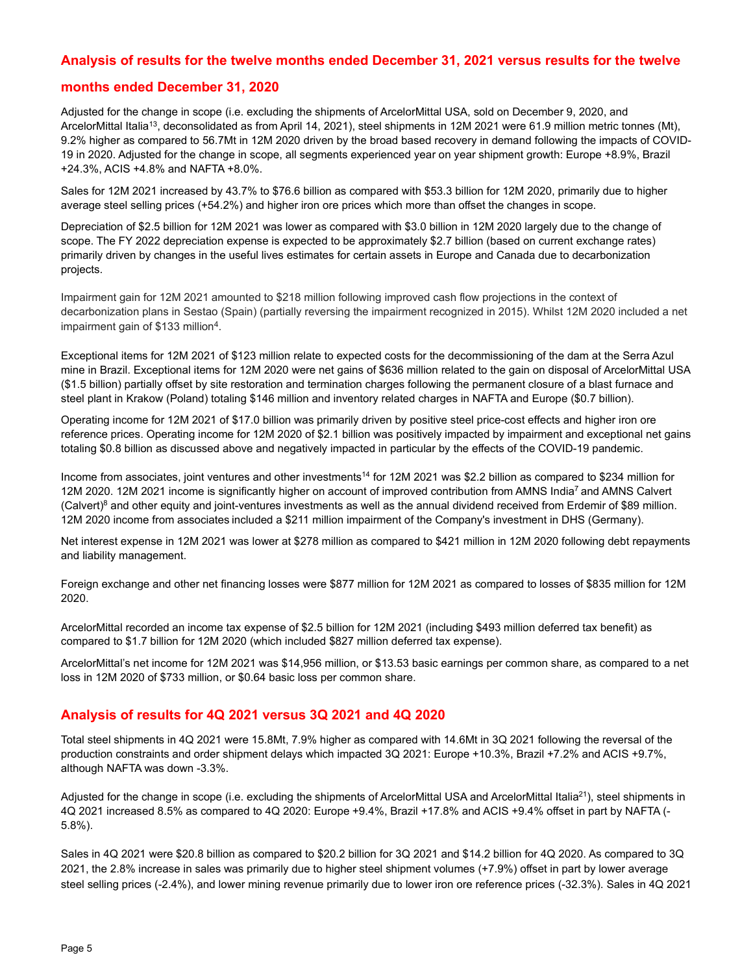#### **Analysis of results for the twelve months ended December 31, 2021 versus results for the twelve**

### **months ended December 31, 2020**

Adjusted for the change in scope (i.e. excluding the shipments of ArcelorMittal USA, sold on December 9, 2020, and ArcelorMittal Italia13, deconsolidated as from April 14, 2021), steel shipments in 12M 2021 were 61.9 million metric tonnes (Mt), 9.2% higher as compared to 56.7Mt in 12M 2020 driven by the broad based recovery in demand following the impacts of COVID-19 in 2020. Adjusted for the change in scope, all segments experienced year on year shipment growth: Europe +8.9%, Brazil +24.3%, ACIS +4.8% and NAFTA +8.0%.

Sales for 12M 2021 increased by 43.7% to \$76.6 billion as compared with \$53.3 billion for 12M 2020, primarily due to higher average steel selling prices (+54.2%) and higher iron ore prices which more than offset the changes in scope.

Depreciation of \$2.5 billion for 12M 2021 was lower as compared with \$3.0 billion in 12M 2020 largely due to the change of scope. The FY 2022 depreciation expense is expected to be approximately \$2.7 billion (based on current exchange rates) primarily driven by changes in the useful lives estimates for certain assets in Europe and Canada due to decarbonization projects.

Impairment gain for 12M 2021 amounted to \$218 million following improved cash flow projections in the context of decarbonization plans in Sestao (Spain) (partially reversing the impairment recognized in 2015). Whilst 12M 2020 included a net impairment gain of \$133 million<sup>4</sup>.

Exceptional items for 12M 2021 of \$123 million relate to expected costs for the decommissioning of the dam at the Serra Azul mine in Brazil. Exceptional items for 12M 2020 were net gains of \$636 million related to the gain on disposal of ArcelorMittal USA (\$1.5 billion) partially offset by site restoration and termination charges following the permanent closure of a blast furnace and steel plant in Krakow (Poland) totaling \$146 million and inventory related charges in NAFTA and Europe (\$0.7 billion).

Operating income for 12M 2021 of \$17.0 billion was primarily driven by positive steel price-cost effects and higher iron ore reference prices. Operating income for 12M 2020 of \$2.1 billion was positively impacted by impairment and exceptional net gains totaling \$0.8 billion as discussed above and negatively impacted in particular by the effects of the COVID-19 pandemic.

Income from associates, joint ventures and other investments<sup>14</sup> for 12M 2021 was \$2.2 billion as compared to \$234 million for 12M 2020. 12M 2021 income is significantly higher on account of improved contribution from AMNS India<sup>7</sup> and AMNS Calvert  $(Calvert)^8$  and other equity and joint-ventures investments as well as the annual dividend received from Erdemir of \$89 million. 12M 2020 income from associates included a \$211 million impairment of the Company's investment in DHS (Germany).

Net interest expense in 12M 2021 was lower at \$278 million as compared to \$421 million in 12M 2020 following debt repayments and liability management.

Foreign exchange and other net financing losses were \$877 million for 12M 2021 as compared to losses of \$835 million for 12M 2020.

ArcelorMittal recorded an income tax expense of \$2.5 billion for 12M 2021 (including \$493 million deferred tax benefit) as compared to \$1.7 billion for 12M 2020 (which included \$827 million deferred tax expense).

ArcelorMittal's net income for 12M 2021 was \$14,956 million, or \$13.53 basic earnings per common share, as compared to a net loss in 12M 2020 of \$733 million, or \$0.64 basic loss per common share.

#### **Analysis of results for 4Q 2021 versus 3Q 2021 and 4Q 2020**

Total steel shipments in 4Q 2021 were 15.8Mt, 7.9% higher as compared with 14.6Mt in 3Q 2021 following the reversal of the production constraints and order shipment delays which impacted 3Q 2021: Europe +10.3%, Brazil +7.2% and ACIS +9.7%, although NAFTA was down -3.3%.

Adjusted for the change in scope (i.e. excluding the shipments of ArcelorMittal USA and ArcelorMittal Italia<sup>21</sup>), steel shipments in 4Q 2021 increased 8.5% as compared to 4Q 2020: Europe +9.4%, Brazil +17.8% and ACIS +9.4% offset in part by NAFTA (- 5.8%).

Sales in 4Q 2021 were \$20.8 billion as compared to \$20.2 billion for 3Q 2021 and \$14.2 billion for 4Q 2020. As compared to 3Q 2021, the 2.8% increase in sales was primarily due to higher steel shipment volumes (+7.9%) offset in part by lower average steel selling prices (-2.4%), and lower mining revenue primarily due to lower iron ore reference prices (-32.3%). Sales in 4Q 2021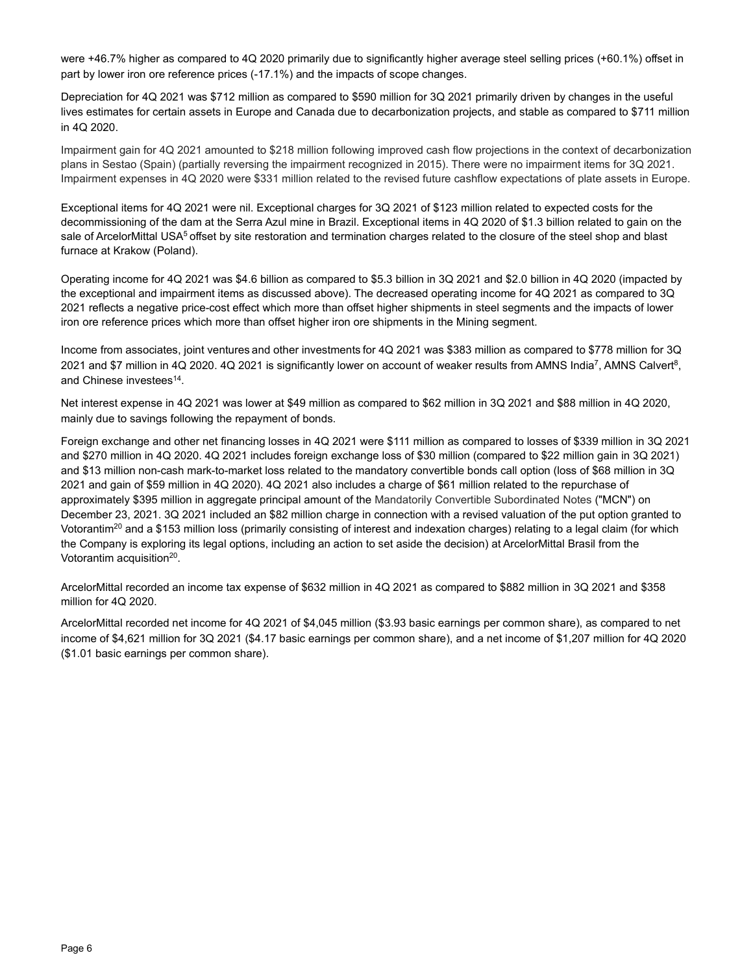were +46.7% higher as compared to 4Q 2020 primarily due to significantly higher average steel selling prices (+60.1%) offset in part by lower iron ore reference prices (-17.1%) and the impacts of scope changes.

Depreciation for 4Q 2021 was \$712 million as compared to \$590 million for 3Q 2021 primarily driven by changes in the useful lives estimates for certain assets in Europe and Canada due to decarbonization projects, and stable as compared to \$711 million in 4Q 2020.

Impairment gain for 4Q 2021 amounted to \$218 million following improved cash flow projections in the context of decarbonization plans in Sestao (Spain) (partially reversing the impairment recognized in 2015). There were no impairment items for 3Q 2021. Impairment expenses in 4Q 2020 were \$331 million related to the revised future cashflow expectations of plate assets in Europe.

Exceptional items for 4Q 2021 were nil. Exceptional charges for 3Q 2021 of \$123 million related to expected costs for the decommissioning of the dam at the Serra Azul mine in Brazil. Exceptional items in 4Q 2020 of \$1.3 billion related to gain on the sale of ArcelorMittal USA<sup>5</sup> offset by site restoration and termination charges related to the closure of the steel shop and blast furnace at Krakow (Poland).

Operating income for 4Q 2021 was \$4.6 billion as compared to \$5.3 billion in 3Q 2021 and \$2.0 billion in 4Q 2020 (impacted by the exceptional and impairment items as discussed above). The decreased operating income for 4Q 2021 as compared to 3Q 2021 reflects a negative price-cost effect which more than offset higher shipments in steel segments and the impacts of lower iron ore reference prices which more than offset higher iron ore shipments in the Mining segment.

Income from associates, joint ventures and other investments for 4Q 2021 was \$383 million as compared to \$778 million for 3Q 2021 and \$7 million in 4Q 2020. 4Q 2021 is significantly lower on account of weaker results from AMNS India<sup>7</sup>, AMNS Calvert<sup>8</sup>, and Chinese investees<sup>14</sup>.

Net interest expense in 4Q 2021 was lower at \$49 million as compared to \$62 million in 3Q 2021 and \$88 million in 4Q 2020, mainly due to savings following the repayment of bonds.

Foreign exchange and other net financing losses in 4Q 2021 were \$111 million as compared to losses of \$339 million in 3Q 2021 and \$270 million in 4Q 2020. 4Q 2021 includes foreign exchange loss of \$30 million (compared to \$22 million gain in 3Q 2021) and \$13 million non-cash mark-to-market loss related to the mandatory convertible bonds call option (loss of \$68 million in 3Q 2021 and gain of \$59 million in 4Q 2020). 4Q 2021 also includes a charge of \$61 million related to the repurchase of approximately \$395 million in aggregate principal amount of the Mandatorily Convertible Subordinated Notes ("MCN") on December 23, 2021. 3Q 2021 included an \$82 million charge in connection with a revised valuation of the put option granted to Votorantim<sup>20</sup> and a \$153 million loss (primarily consisting of interest and indexation charges) relating to a legal claim (for which the Company is exploring its legal options, including an action to set aside the decision) at ArcelorMittal Brasil from the Votorantim acquisition<sup>20</sup>.

ArcelorMittal recorded an income tax expense of \$632 million in 4Q 2021 as compared to \$882 million in 3Q 2021 and \$358 million for 4Q 2020.

ArcelorMittal recorded net income for 4Q 2021 of \$4,045 million (\$3.93 basic earnings per common share), as compared to net income of \$4,621 million for 3Q 2021 (\$4.17 basic earnings per common share), and a net income of \$1,207 million for 4Q 2020 (\$1.01 basic earnings per common share).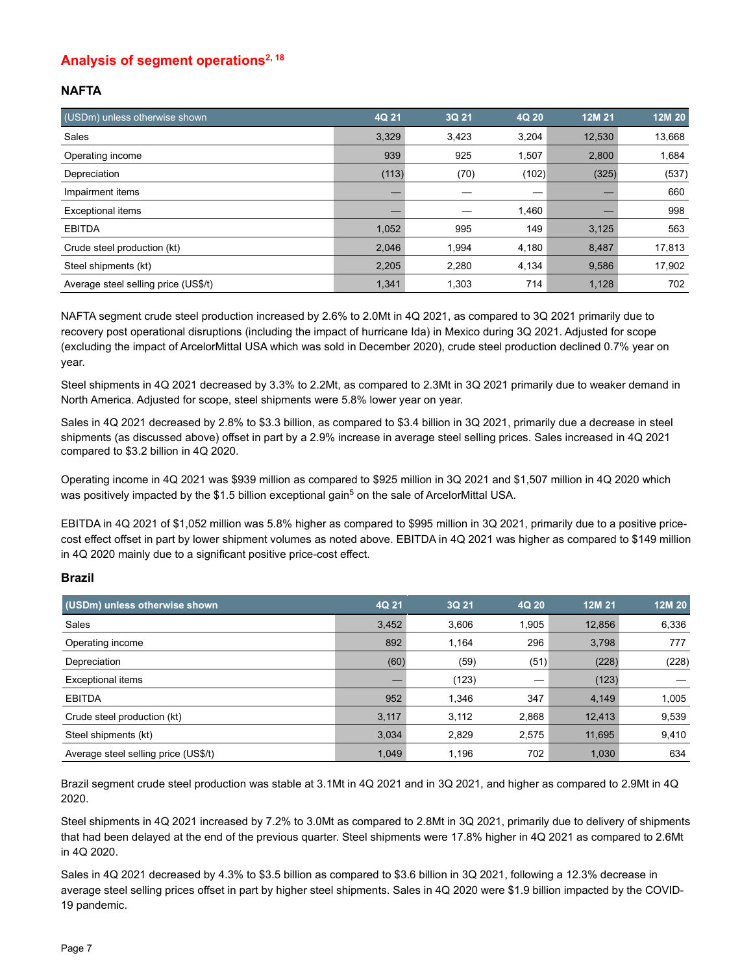## Analysis of segment operations<sup>2, 18</sup>

## **NAFTA**

| (USDm) unless otherwise shown        | 4Q 21 | 3Q 21 | 4Q 20 | 12M 21 | 12M 20 |
|--------------------------------------|-------|-------|-------|--------|--------|
| Sales                                | 3,329 | 3,423 | 3,204 | 12,530 | 13,668 |
| Operating income                     | 939   | 925   | 1.507 | 2,800  | 1,684  |
| Depreciation                         | (113) | (70)  | (102) | (325)  | (537)  |
| Impairment items                     |       |       |       |        | 660    |
| <b>Exceptional items</b>             |       |       | 1,460 |        | 998    |
| <b>EBITDA</b>                        | 1,052 | 995   | 149   | 3,125  | 563    |
| Crude steel production (kt)          | 2,046 | 1,994 | 4,180 | 8,487  | 17,813 |
| Steel shipments (kt)                 | 2,205 | 2,280 | 4,134 | 9,586  | 17,902 |
| Average steel selling price (US\$/t) | 1,341 | 1,303 | 714   | 1,128  | 702    |

NAFTA segment crude steel production increased by 2.6% to 2.0Mt in 4Q 2021, as compared to 3Q 2021 primarily due to recovery post operational disruptions (including the impact of hurricane Ida) in Mexico during 3Q 2021. Adjusted for scope (excluding the impact of ArcelorMittal USA which was sold in December 2020), crude steel production declined 0.7% year on year.

Steel shipments in 4Q 2021 decreased by 3.3% to 2.2Mt, as compared to 2.3Mt in 3Q 2021 primarily due to weaker demand in North America. Adjusted for scope, steel shipments were 5.8% lower year on year.

Sales in 4Q 2021 decreased by 2.8% to \$3.3 billion, as compared to \$3.4 billion in 3Q 2021, primarily due a decrease in steel shipments (as discussed above) offset in part by a 2.9% increase in average steel selling prices. Sales increased in 4Q 2021 compared to \$3.2 billion in 4Q 2020.

Operating income in 4Q 2021 was \$939 million as compared to \$925 million in 3Q 2021 and \$1,507 million in 4Q 2020 which was positively impacted by the \$1.5 billion exceptional gain<sup>5</sup> on the sale of ArcelorMittal USA.

EBITDA in 4Q 2021 of \$1,052 million was 5.8% higher as compared to \$995 million in 3Q 2021, primarily due to a positive pricecost effect offset in part by lower shipment volumes as noted above. EBITDA in 4Q 2021 was higher as compared to \$149 million in 4Q 2020 mainly due to a significant positive price-cost effect.

#### **Brazil**

| (USDm) unless otherwise shown        | 4Q 21 | 3Q 21 | 4Q 20 | 12M 21 | 12M 20 |
|--------------------------------------|-------|-------|-------|--------|--------|
| Sales                                | 3,452 | 3,606 | 1,905 | 12,856 | 6,336  |
| Operating income                     | 892   | 1,164 | 296   | 3,798  | 777    |
| Depreciation                         | (60)  | (59)  | (51)  | (228)  | (228)  |
| Exceptional items                    |       | (123) |       | (123)  |        |
| <b>EBITDA</b>                        | 952   | 1,346 | 347   | 4,149  | 1,005  |
| Crude steel production (kt)          | 3,117 | 3.112 | 2,868 | 12.413 | 9,539  |
| Steel shipments (kt)                 | 3,034 | 2.829 | 2,575 | 11,695 | 9,410  |
| Average steel selling price (US\$/t) | 1.049 | 1.196 | 702   | 1.030  | 634    |

Brazil segment crude steel production was stable at 3.1Mt in 4Q 2021 and in 3Q 2021, and higher as compared to 2.9Mt in 4Q 2020.

Steel shipments in 4Q 2021 increased by 7.2% to 3.0Mt as compared to 2.8Mt in 3Q 2021, primarily due to delivery of shipments that had been delayed at the end of the previous quarter. Steel shipments were 17.8% higher in 4Q 2021 as compared to 2.6Mt in 4Q 2020.

Sales in 4Q 2021 decreased by 4.3% to \$3.5 billion as compared to \$3.6 billion in 3Q 2021, following a 12.3% decrease in average steel selling prices offset in part by higher steel shipments. Sales in 4Q 2020 were \$1.9 billion impacted by the COVID-19 pandemic.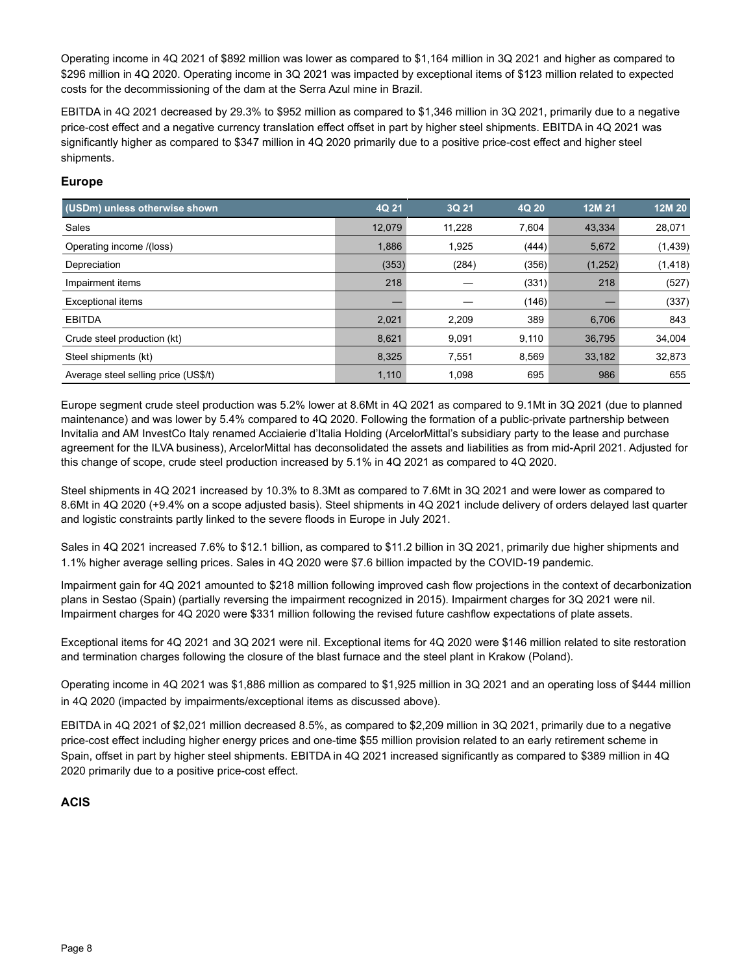Operating income in 4Q 2021 of \$892 million was lower as compared to \$1,164 million in 3Q 2021 and higher as compared to \$296 million in 4Q 2020. Operating income in 3Q 2021 was impacted by exceptional items of \$123 million related to expected costs for the decommissioning of the dam at the Serra Azul mine in Brazil.

EBITDA in 4Q 2021 decreased by 29.3% to \$952 million as compared to \$1,346 million in 3Q 2021, primarily due to a negative price-cost effect and a negative currency translation effect offset in part by higher steel shipments. EBITDA in 4Q 2021 was significantly higher as compared to \$347 million in 4Q 2020 primarily due to a positive price-cost effect and higher steel shipments.

#### **Europe**

| (USDm) unless otherwise shown        | 4Q 21  | 3Q 21  | 4Q 20 | 12M 21  | 12M 20   |
|--------------------------------------|--------|--------|-------|---------|----------|
| Sales                                | 12,079 | 11.228 | 7,604 | 43,334  | 28,071   |
| Operating income /(loss)             | 1,886  | 1,925  | (444) | 5,672   | (1, 439) |
| Depreciation                         | (353)  | (284)  | (356) | (1,252) | (1, 418) |
| Impairment items                     | 218    |        | (331) | 218     | (527)    |
| <b>Exceptional items</b>             |        |        | (146) |         | (337)    |
| <b>EBITDA</b>                        | 2,021  | 2,209  | 389   | 6,706   | 843      |
| Crude steel production (kt)          | 8,621  | 9,091  | 9,110 | 36.795  | 34,004   |
| Steel shipments (kt)                 | 8,325  | 7,551  | 8,569 | 33,182  | 32,873   |
| Average steel selling price (US\$/t) | 1,110  | 1.098  | 695   | 986     | 655      |

Europe segment crude steel production was 5.2% lower at 8.6Mt in 4Q 2021 as compared to 9.1Mt in 3Q 2021 (due to planned maintenance) and was lower by 5.4% compared to 4Q 2020. Following the formation of a public-private partnership between Invitalia and AM InvestCo Italy renamed Acciaierie d'Italia Holding (ArcelorMittal's subsidiary party to the lease and purchase agreement for the ILVA business), ArcelorMittal has deconsolidated the assets and liabilities as from mid-April 2021. Adjusted for this change of scope, crude steel production increased by 5.1% in 4Q 2021 as compared to 4Q 2020.

Steel shipments in 4Q 2021 increased by 10.3% to 8.3Mt as compared to 7.6Mt in 3Q 2021 and were lower as compared to 8.6Mt in 4Q 2020 (+9.4% on a scope adjusted basis). Steel shipments in 4Q 2021 include delivery of orders delayed last quarter and logistic constraints partly linked to the severe floods in Europe in July 2021.

Sales in 4Q 2021 increased 7.6% to \$12.1 billion, as compared to \$11.2 billion in 3Q 2021, primarily due higher shipments and 1.1% higher average selling prices. Sales in 4Q 2020 were \$7.6 billion impacted by the COVID-19 pandemic.

Impairment gain for 4Q 2021 amounted to \$218 million following improved cash flow projections in the context of decarbonization plans in Sestao (Spain) (partially reversing the impairment recognized in 2015). Impairment charges for 3Q 2021 were nil. Impairment charges for 4Q 2020 were \$331 million following the revised future cashflow expectations of plate assets.

Exceptional items for 4Q 2021 and 3Q 2021 were nil. Exceptional items for 4Q 2020 were \$146 million related to site restoration and termination charges following the closure of the blast furnace and the steel plant in Krakow (Poland).

Operating income in 4Q 2021 was \$1,886 million as compared to \$1,925 million in 3Q 2021 and an operating loss of \$444 million in 4Q 2020 (impacted by impairments/exceptional items as discussed above).

EBITDA in 4Q 2021 of \$2,021 million decreased 8.5%, as compared to \$2,209 million in 3Q 2021, primarily due to a negative price-cost effect including higher energy prices and one-time \$55 million provision related to an early retirement scheme in Spain, offset in part by higher steel shipments. EBITDA in 4Q 2021 increased significantly as compared to \$389 million in 4Q 2020 primarily due to a positive price-cost effect.

#### **ACIS**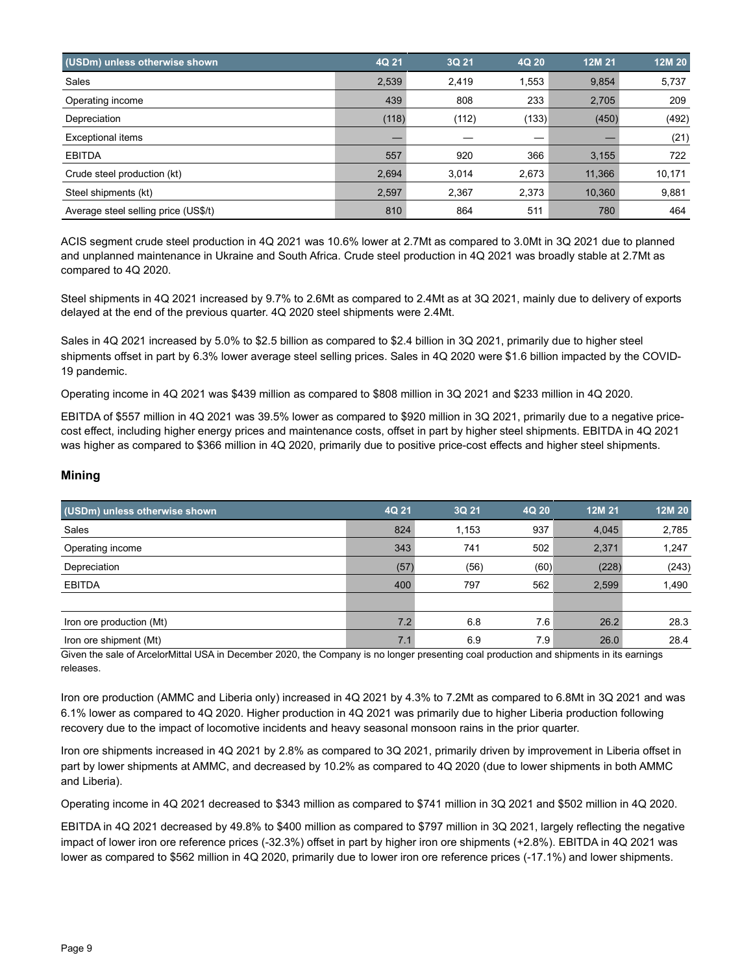| (USDm) unless otherwise shown        | 4Q 21 | 3Q 21 | 4Q 20 | 12M 21 | 12M 20 |
|--------------------------------------|-------|-------|-------|--------|--------|
| Sales                                | 2,539 | 2.419 | 1.553 | 9,854  | 5,737  |
| Operating income                     | 439   | 808   | 233   | 2,705  | 209    |
| Depreciation                         | (118) | (112) | (133) | (450)  | (492)  |
| <b>Exceptional items</b>             |       |       |       |        | (21)   |
| <b>EBITDA</b>                        | 557   | 920   | 366   | 3,155  | 722    |
| Crude steel production (kt)          | 2,694 | 3.014 | 2.673 | 11,366 | 10,171 |
| Steel shipments (kt)                 | 2,597 | 2,367 | 2,373 | 10,360 | 9,881  |
| Average steel selling price (US\$/t) | 810   | 864   | 511   | 780    | 464    |

ACIS segment crude steel production in 4Q 2021 was 10.6% lower at 2.7Mt as compared to 3.0Mt in 3Q 2021 due to planned and unplanned maintenance in Ukraine and South Africa. Crude steel production in 4Q 2021 was broadly stable at 2.7Mt as compared to 4Q 2020.

Steel shipments in 4Q 2021 increased by 9.7% to 2.6Mt as compared to 2.4Mt as at 3Q 2021, mainly due to delivery of exports delayed at the end of the previous quarter. 4Q 2020 steel shipments were 2.4Mt.

Sales in 4Q 2021 increased by 5.0% to \$2.5 billion as compared to \$2.4 billion in 3Q 2021, primarily due to higher steel shipments offset in part by 6.3% lower average steel selling prices. Sales in 4Q 2020 were \$1.6 billion impacted by the COVID-19 pandemic.

Operating income in 4Q 2021 was \$439 million as compared to \$808 million in 3Q 2021 and \$233 million in 4Q 2020.

EBITDA of \$557 million in 4Q 2021 was 39.5% lower as compared to \$920 million in 3Q 2021, primarily due to a negative pricecost effect, including higher energy prices and maintenance costs, offset in part by higher steel shipments. EBITDA in 4Q 2021 was higher as compared to \$366 million in 4Q 2020, primarily due to positive price-cost effects and higher steel shipments.

#### **Mining**

| (USDm) unless otherwise shown | 4Q 21 | 3Q 21 | 4Q 20 | 12M 21 | 12M 20 |
|-------------------------------|-------|-------|-------|--------|--------|
| <b>Sales</b>                  | 824   | 1.153 | 937   | 4,045  | 2,785  |
| Operating income              | 343   | 741   | 502   | 2,371  | 1,247  |
| Depreciation                  | (57)  | (56)  | (60)  | (228)  | (243)  |
| <b>EBITDA</b>                 | 400   | 797   | 562   | 2,599  | 1,490  |
|                               |       |       |       |        |        |
| Iron ore production (Mt)      | 7.2   | 6.8   | 7.6   | 26.2   | 28.3   |
| Iron ore shipment (Mt)        | 7.1   | 6.9   | 7.9   | 26.0   | 28.4   |

Given the sale of ArcelorMittal USA in December 2020, the Company is no longer presenting coal production and shipments in its earnings releases.

Iron ore production (AMMC and Liberia only) increased in 4Q 2021 by 4.3% to 7.2Mt as compared to 6.8Mt in 3Q 2021 and was 6.1% lower as compared to 4Q 2020. Higher production in 4Q 2021 was primarily due to higher Liberia production following recovery due to the impact of locomotive incidents and heavy seasonal monsoon rains in the prior quarter.

Iron ore shipments increased in 4Q 2021 by 2.8% as compared to 3Q 2021, primarily driven by improvement in Liberia offset in part by lower shipments at AMMC, and decreased by 10.2% as compared to 4Q 2020 (due to lower shipments in both AMMC and Liberia).

Operating income in 4Q 2021 decreased to \$343 million as compared to \$741 million in 3Q 2021 and \$502 million in 4Q 2020.

EBITDA in 4Q 2021 decreased by 49.8% to \$400 million as compared to \$797 million in 3Q 2021, largely reflecting the negative impact of lower iron ore reference prices (-32.3%) offset in part by higher iron ore shipments (+2.8%). EBITDA in 4Q 2021 was lower as compared to \$562 million in 4Q 2020, primarily due to lower iron ore reference prices (-17.1%) and lower shipments.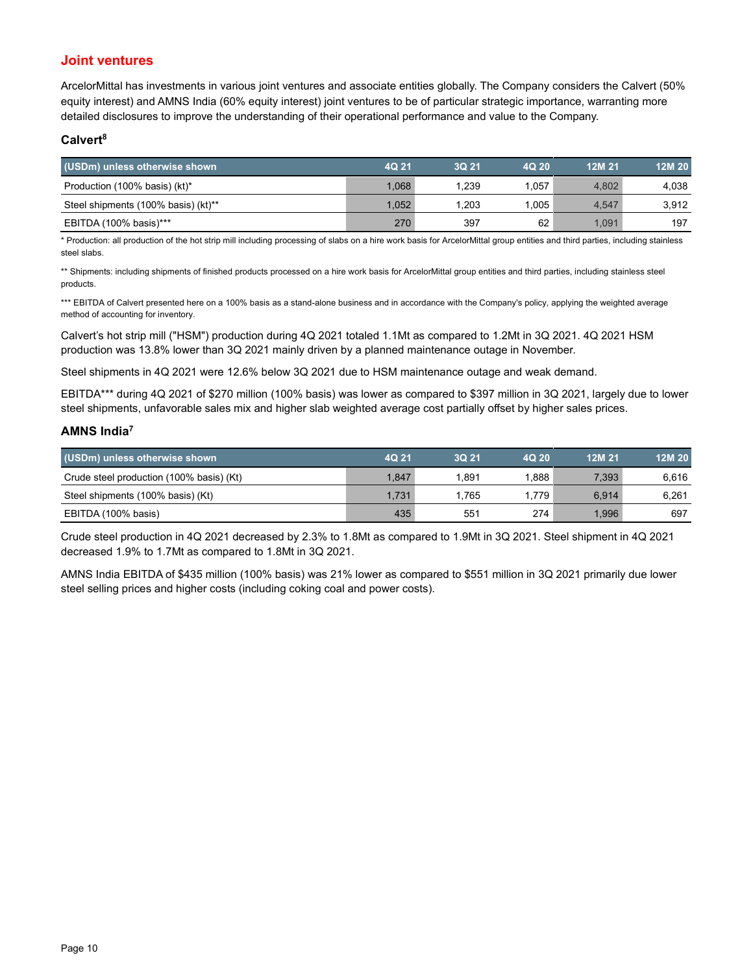#### **Joint ventures**

ArcelorMittal has investments in various joint ventures and associate entities globally. The Company considers the Calvert (50% equity interest) and AMNS India (60% equity interest) joint ventures to be of particular strategic importance, warranting more detailed disclosures to improve the understanding of their operational performance and value to the Company.

#### **Calvert8**

| (USDm) unless otherwise shown       | 4Q 21 | 3Q 21 | 4Q 20 | 12M 21 | 12M 20 |
|-------------------------------------|-------|-------|-------|--------|--------|
| Production (100% basis) (kt)*       | 1.068 | 1.239 | 1.057 | 4.802  | 4.038  |
| Steel shipments (100% basis) (kt)** | 1.052 | 1.203 | 1.005 | 4,547  | 3.912  |
| EBITDA (100% basis)***              | 270   | 397   | 62    | 1.091  | 197    |

\* Production: all production of the hot strip mill including processing of slabs on a hire work basis for ArcelorMittal group entities and third parties, including stainless steel slabs.

\*\* Shipments: including shipments of finished products processed on a hire work basis for ArcelorMittal group entities and third parties, including stainless steel products.

\*\*\* EBITDA of Calvert presented here on a 100% basis as a stand-alone business and in accordance with the Company's policy, applying the weighted average method of accounting for inventory.

Calvert's hot strip mill ("HSM") production during 4Q 2021 totaled 1.1Mt as compared to 1.2Mt in 3Q 2021. 4Q 2021 HSM production was 13.8% lower than 3Q 2021 mainly driven by a planned maintenance outage in November.

Steel shipments in 4Q 2021 were 12.6% below 3Q 2021 due to HSM maintenance outage and weak demand.

EBITDA\*\*\* during 4Q 2021 of \$270 million (100% basis) was lower as compared to \$397 million in 3Q 2021, largely due to lower steel shipments, unfavorable sales mix and higher slab weighted average cost partially offset by higher sales prices.

#### **AMNS India7**

| (USDm) unless otherwise shown            | 4Q 21 | 3Q 21 | 4Q 20 | 12M 21 | 12M 20 |
|------------------------------------------|-------|-------|-------|--------|--------|
| Crude steel production (100% basis) (Kt) | 1.847 | 1.891 | .888  | 7.393  | 6.616  |
| Steel shipments (100% basis) (Kt)        | 1.731 | 1.765 | 1.779 | 6.914  | 6,261  |
| EBITDA (100% basis)                      | 435   | 551   | 274   | 1.996  | 697    |

Crude steel production in 4Q 2021 decreased by 2.3% to 1.8Mt as compared to 1.9Mt in 3Q 2021. Steel shipment in 4Q 2021 decreased 1.9% to 1.7Mt as compared to 1.8Mt in 3Q 2021.

AMNS India EBITDA of \$435 million (100% basis) was 21% lower as compared to \$551 million in 3Q 2021 primarily due lower steel selling prices and higher costs (including coking coal and power costs).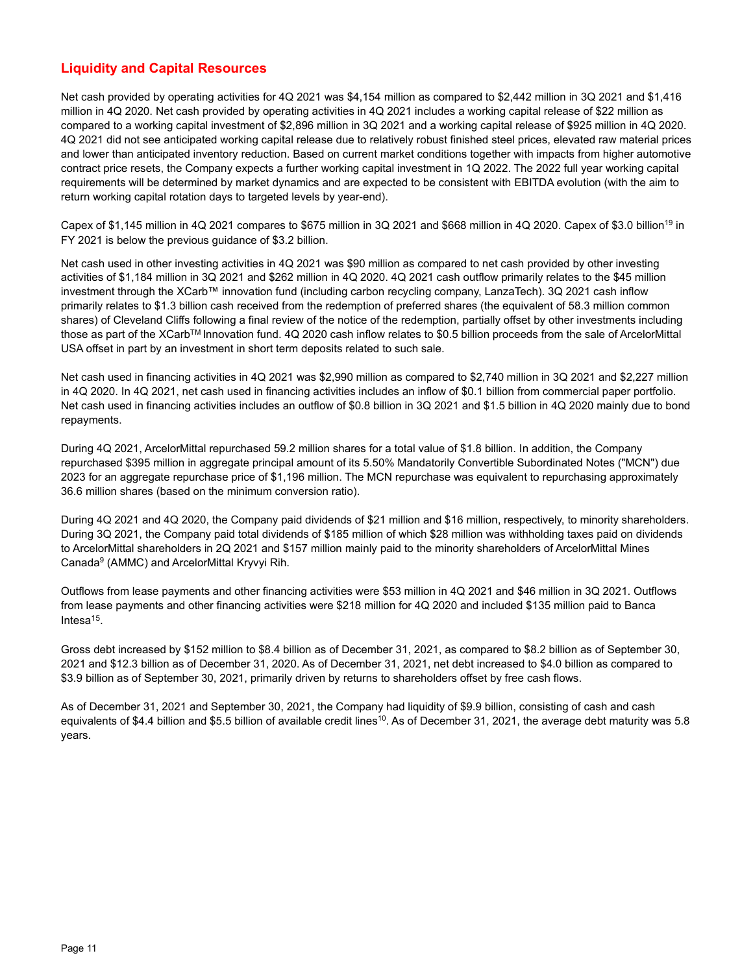## **Liquidity and Capital Resources**

Net cash provided by operating activities for 4Q 2021 was \$4,154 million as compared to \$2,442 million in 3Q 2021 and \$1,416 million in 4Q 2020. Net cash provided by operating activities in 4Q 2021 includes a working capital release of \$22 million as compared to a working capital investment of \$2,896 million in 3Q 2021 and a working capital release of \$925 million in 4Q 2020. 4Q 2021 did not see anticipated working capital release due to relatively robust finished steel prices, elevated raw material prices and lower than anticipated inventory reduction. Based on current market conditions together with impacts from higher automotive contract price resets, the Company expects a further working capital investment in 1Q 2022. The 2022 full year working capital requirements will be determined by market dynamics and are expected to be consistent with EBITDA evolution (with the aim to return working capital rotation days to targeted levels by year-end).

Capex of \$1,145 million in 4Q 2021 compares to \$675 million in 3Q 2021 and \$668 million in 4Q 2020. Capex of \$3.0 billion19 in FY 2021 is below the previous guidance of \$3.2 billion.

Net cash used in other investing activities in 4Q 2021 was \$90 million as compared to net cash provided by other investing activities of \$1,184 million in 3Q 2021 and \$262 million in 4Q 2020. 4Q 2021 cash outflow primarily relates to the \$45 million investment through the XCarb™ innovation fund (including carbon recycling company, LanzaTech). 3Q 2021 cash inflow primarily relates to \$1.3 billion cash received from the redemption of preferred shares (the equivalent of 58.3 million common shares) of Cleveland Cliffs following a final review of the notice of the redemption, partially offset by other investments including those as part of the XCarbTM Innovation fund. 4Q 2020 cash inflow relates to \$0.5 billion proceeds from the sale of ArcelorMittal USA offset in part by an investment in short term deposits related to such sale.

Net cash used in financing activities in 4Q 2021 was \$2,990 million as compared to \$2,740 million in 3Q 2021 and \$2,227 million in 4Q 2020. In 4Q 2021, net cash used in financing activities includes an inflow of \$0.1 billion from commercial paper portfolio. Net cash used in financing activities includes an outflow of \$0.8 billion in 3Q 2021 and \$1.5 billion in 4Q 2020 mainly due to bond repayments.

During 4Q 2021, ArcelorMittal repurchased 59.2 million shares for a total value of \$1.8 billion. In addition, the Company repurchased \$395 million in aggregate principal amount of its 5.50% Mandatorily Convertible Subordinated Notes ("MCN") due 2023 for an aggregate repurchase price of \$1,196 million. The MCN repurchase was equivalent to repurchasing approximately 36.6 million shares (based on the minimum conversion ratio).

During 4Q 2021 and 4Q 2020, the Company paid dividends of \$21 million and \$16 million, respectively, to minority shareholders. During 3Q 2021, the Company paid total dividends of \$185 million of which \$28 million was withholding taxes paid on dividends to ArcelorMittal shareholders in 2Q 2021 and \$157 million mainly paid to the minority shareholders of ArcelorMittal Mines Canada9 (AMMC) and ArcelorMittal Kryvyi Rih.

Outflows from lease payments and other financing activities were \$53 million in 4Q 2021 and \$46 million in 3Q 2021. Outflows from lease payments and other financing activities were \$218 million for 4Q 2020 and included \$135 million paid to Banca Intesa15.

Gross debt increased by \$152 million to \$8.4 billion as of December 31, 2021, as compared to \$8.2 billion as of September 30, 2021 and \$12.3 billion as of December 31, 2020. As of December 31, 2021, net debt increased to \$4.0 billion as compared to \$3.9 billion as of September 30, 2021, primarily driven by returns to shareholders offset by free cash flows.

As of December 31, 2021 and September 30, 2021, the Company had liquidity of \$9.9 billion, consisting of cash and cash equivalents of \$4.4 billion and \$5.5 billion of available credit lines<sup>10</sup>. As of December 31, 2021, the average debt maturity was 5.8 years.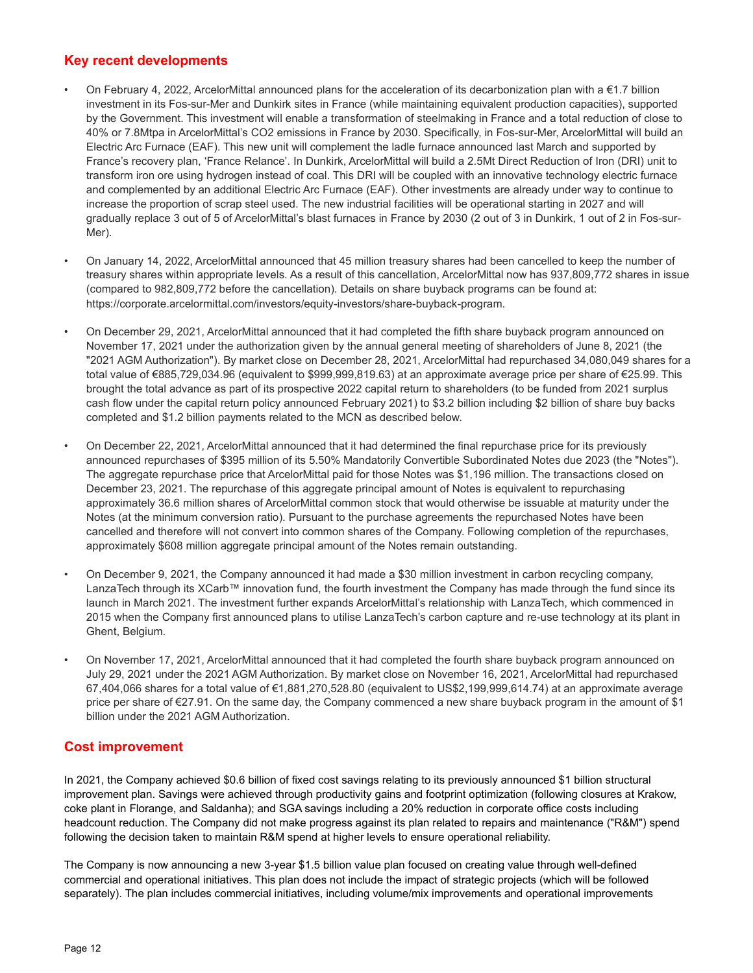### **Key recent developments**

- On February 4, 2022, ArcelorMittal announced plans for the acceleration of its decarbonization plan with a  $\epsilon$ 1.7 billion investment in its Fos-sur-Mer and Dunkirk sites in France (while maintaining equivalent production capacities), supported by the Government. This investment will enable a transformation of steelmaking in France and a total reduction of close to 40% or 7.8Mtpa in ArcelorMittal's CO2 emissions in France by 2030. Specifically, in Fos-sur-Mer, ArcelorMittal will build an Electric Arc Furnace (EAF). This new unit will complement the ladle furnace announced last March and supported by France's recovery plan, 'France Relance'. In Dunkirk, ArcelorMittal will build a 2.5Mt Direct Reduction of Iron (DRI) unit to transform iron ore using hydrogen instead of coal. This DRI will be coupled with an innovative technology electric furnace and complemented by an additional Electric Arc Furnace (EAF). Other investments are already under way to continue to increase the proportion of scrap steel used. The new industrial facilities will be operational starting in 2027 and will gradually replace 3 out of 5 of ArcelorMittal's blast furnaces in France by 2030 (2 out of 3 in Dunkirk, 1 out of 2 in Fos-sur-Mer).
- On January 14, 2022, ArcelorMittal announced that 45 million treasury shares had been cancelled to keep the number of treasury shares within appropriate levels. As a result of this cancellation, ArcelorMittal now has 937,809,772 shares in issue (compared to 982,809,772 before the cancellation). Details on share buyback programs can be found at: https://corporate.arcelormittal.com/investors/equity-investors/share-buyback-program.
- On December 29, 2021, ArcelorMittal announced that it had completed the fifth share buyback program announced on November 17, 2021 under the authorization given by the annual general meeting of shareholders of June 8, 2021 (the "2021 AGM Authorization"). By market close on December 28, 2021, ArcelorMittal had repurchased 34,080,049 shares for a total value of €885,729,034.96 (equivalent to \$999,999,819.63) at an approximate average price per share of €25.99. This brought the total advance as part of its prospective 2022 capital return to shareholders (to be funded from 2021 surplus cash flow under the capital return policy announced February 2021) to \$3.2 billion including \$2 billion of share buy backs completed and \$1.2 billion payments related to the MCN as described below.
- On December 22, 2021, ArcelorMittal announced that it had determined the final repurchase price for its previously announced repurchases of \$395 million of its 5.50% Mandatorily Convertible Subordinated Notes due 2023 (the "Notes"). The aggregate repurchase price that ArcelorMittal paid for those Notes was \$1,196 million. The transactions closed on December 23, 2021. The repurchase of this aggregate principal amount of Notes is equivalent to repurchasing approximately 36.6 million shares of ArcelorMittal common stock that would otherwise be issuable at maturity under the Notes (at the minimum conversion ratio). Pursuant to the purchase agreements the repurchased Notes have been cancelled and therefore will not convert into common shares of the Company. Following completion of the repurchases, approximately \$608 million aggregate principal amount of the Notes remain outstanding.
- On December 9, 2021, the Company announced it had made a \$30 million investment in carbon recycling company, LanzaTech through its XCarb™ innovation fund, the fourth investment the Company has made through the fund since its launch in March 2021. The investment further expands ArcelorMittal's relationship with LanzaTech, which commenced in 2015 when the Company first announced plans to utilise LanzaTech's carbon capture and re-use technology at its plant in Ghent, Belgium.
- On November 17, 2021, ArcelorMittal announced that it had completed the fourth share buyback program announced on July 29, 2021 under the 2021 AGM Authorization. By market close on November 16, 2021, ArcelorMittal had repurchased 67,404,066 shares for a total value of €1,881,270,528.80 (equivalent to US\$2,199,999,614.74) at an approximate average price per share of €27.91. On the same day, the Company commenced a new share buyback program in the amount of \$1 billion under the 2021 AGM Authorization.

## **Cost improvement**

In 2021, the Company achieved \$0.6 billion of fixed cost savings relating to its previously announced \$1 billion structural improvement plan. Savings were achieved through productivity gains and footprint optimization (following closures at Krakow, coke plant in Florange, and Saldanha); and SGA savings including a 20% reduction in corporate office costs including headcount reduction. The Company did not make progress against its plan related to repairs and maintenance ("R&M") spend following the decision taken to maintain R&M spend at higher levels to ensure operational reliability.

The Company is now announcing a new 3-year \$1.5 billion value plan focused on creating value through well-defined commercial and operational initiatives. This plan does not include the impact of strategic projects (which will be followed separately). The plan includes commercial initiatives, including volume/mix improvements and operational improvements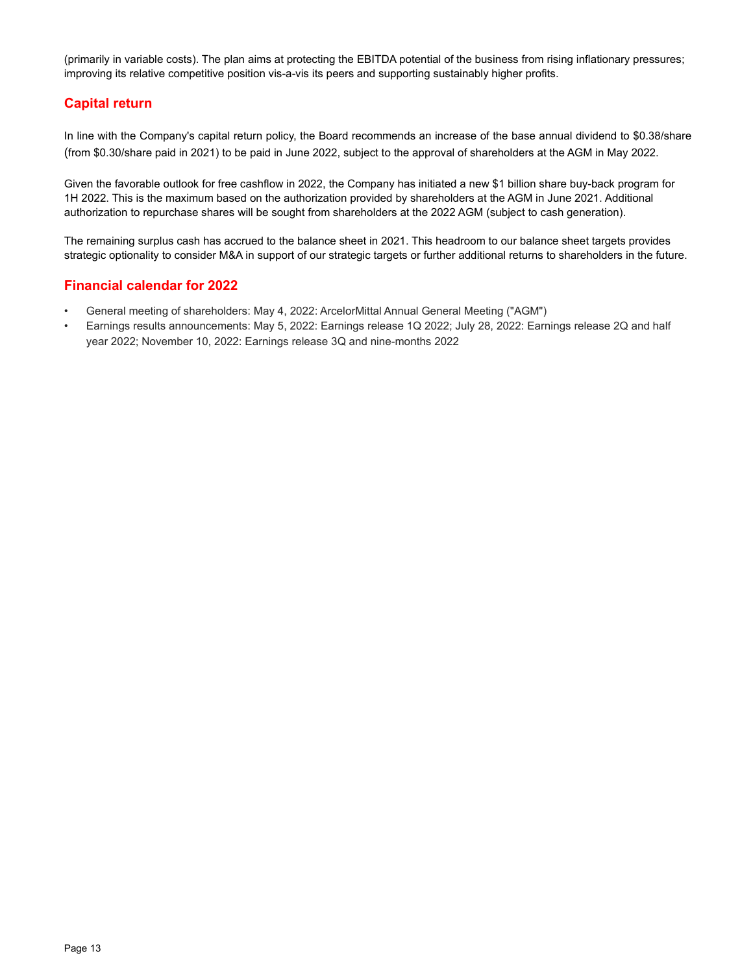(primarily in variable costs). The plan aims at protecting the EBITDA potential of the business from rising inflationary pressures; improving its relative competitive position vis-a-vis its peers and supporting sustainably higher profits.

#### **Capital return**

In line with the Company's capital return policy, the Board recommends an increase of the base annual dividend to \$0.38/share (from \$0.30/share paid in 2021) to be paid in June 2022, subject to the approval of shareholders at the AGM in May 2022.

Given the favorable outlook for free cashflow in 2022, the Company has initiated a new \$1 billion share buy-back program for 1H 2022. This is the maximum based on the authorization provided by shareholders at the AGM in June 2021. Additional authorization to repurchase shares will be sought from shareholders at the 2022 AGM (subject to cash generation).

The remaining surplus cash has accrued to the balance sheet in 2021. This headroom to our balance sheet targets provides strategic optionality to consider M&A in support of our strategic targets or further additional returns to shareholders in the future.

#### **Financial calendar for 2022**

- General meeting of shareholders: May 4, 2022: ArcelorMittal Annual General Meeting ("AGM")
- Earnings results announcements: May 5, 2022: Earnings release 1Q 2022; July 28, 2022: Earnings release 2Q and half year 2022; November 10, 2022: Earnings release 3Q and nine-months 2022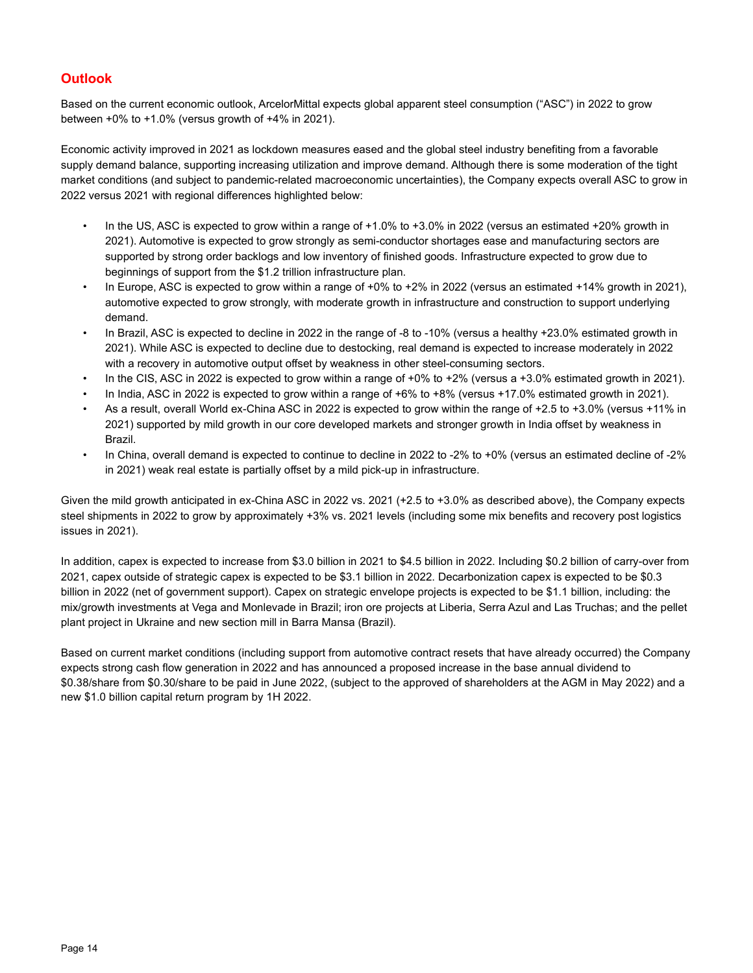# **Outlook**

Based on the current economic outlook, ArcelorMittal expects global apparent steel consumption ("ASC") in 2022 to grow between +0% to +1.0% (versus growth of +4% in 2021).

Economic activity improved in 2021 as lockdown measures eased and the global steel industry benefiting from a favorable supply demand balance, supporting increasing utilization and improve demand. Although there is some moderation of the tight market conditions (and subject to pandemic-related macroeconomic uncertainties), the Company expects overall ASC to grow in 2022 versus 2021 with regional differences highlighted below:

- In the US, ASC is expected to grow within a range of +1.0% to +3.0% in 2022 (versus an estimated +20% growth in 2021). Automotive is expected to grow strongly as semi-conductor shortages ease and manufacturing sectors are supported by strong order backlogs and low inventory of finished goods. Infrastructure expected to grow due to beginnings of support from the \$1.2 trillion infrastructure plan.
- In Europe, ASC is expected to grow within a range of +0% to +2% in 2022 (versus an estimated +14% growth in 2021), automotive expected to grow strongly, with moderate growth in infrastructure and construction to support underlying demand.
- In Brazil, ASC is expected to decline in 2022 in the range of -8 to -10% (versus a healthy +23.0% estimated growth in 2021). While ASC is expected to decline due to destocking, real demand is expected to increase moderately in 2022 with a recovery in automotive output offset by weakness in other steel-consuming sectors.
- In the CIS, ASC in 2022 is expected to grow within a range of +0% to +2% (versus a +3.0% estimated growth in 2021).
- In India, ASC in 2022 is expected to grow within a range of +6% to +8% (versus +17.0% estimated growth in 2021).
- As a result, overall World ex-China ASC in 2022 is expected to grow within the range of +2.5 to +3.0% (versus +11% in 2021) supported by mild growth in our core developed markets and stronger growth in India offset by weakness in Brazil.
- In China, overall demand is expected to continue to decline in 2022 to -2% to +0% (versus an estimated decline of -2% in 2021) weak real estate is partially offset by a mild pick-up in infrastructure.

Given the mild growth anticipated in ex-China ASC in 2022 vs. 2021 (+2.5 to +3.0% as described above), the Company expects steel shipments in 2022 to grow by approximately +3% vs. 2021 levels (including some mix benefits and recovery post logistics issues in 2021).

In addition, capex is expected to increase from \$3.0 billion in 2021 to \$4.5 billion in 2022. Including \$0.2 billion of carry-over from 2021, capex outside of strategic capex is expected to be \$3.1 billion in 2022. Decarbonization capex is expected to be \$0.3 billion in 2022 (net of government support). Capex on strategic envelope projects is expected to be \$1.1 billion, including: the mix/growth investments at Vega and Monlevade in Brazil; iron ore projects at Liberia, Serra Azul and Las Truchas; and the pellet plant project in Ukraine and new section mill in Barra Mansa (Brazil).

Based on current market conditions (including support from automotive contract resets that have already occurred) the Company expects strong cash flow generation in 2022 and has announced a proposed increase in the base annual dividend to \$0.38/share from \$0.30/share to be paid in June 2022, (subject to the approved of shareholders at the AGM in May 2022) and a new \$1.0 billion capital return program by 1H 2022.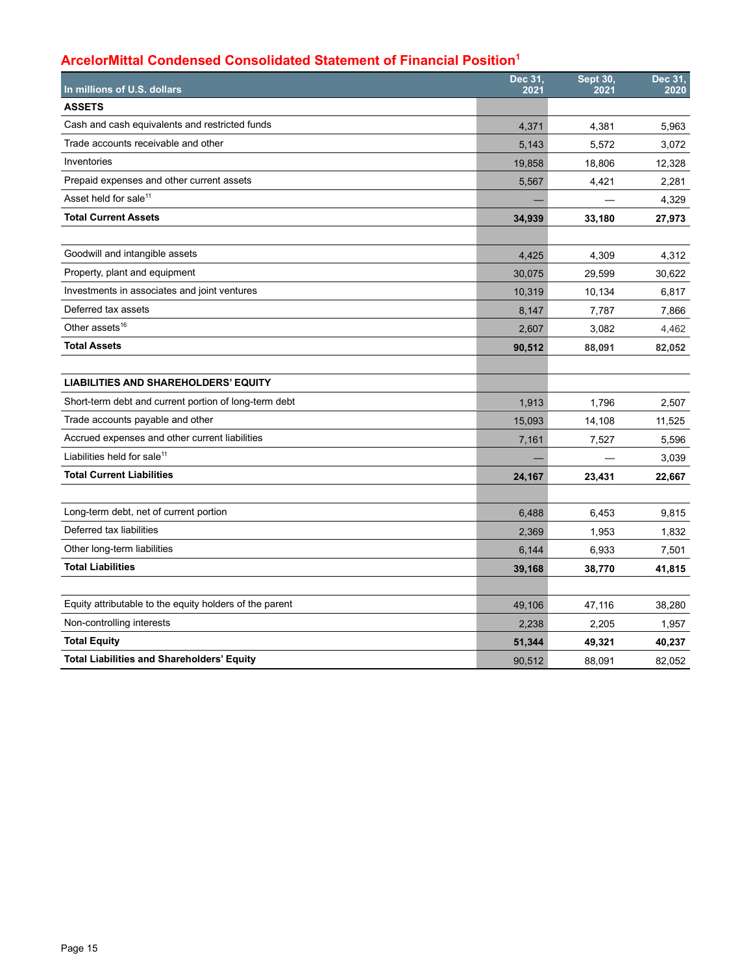# **ArcelorMittal Condensed Consolidated Statement of Financial Position1**

| In millions of U.S. dollars                             | Dec 31,<br>2021 | <b>Sept 30,</b><br>2021 | Dec 31,<br>2020 |
|---------------------------------------------------------|-----------------|-------------------------|-----------------|
| <b>ASSETS</b>                                           |                 |                         |                 |
| Cash and cash equivalents and restricted funds          | 4,371           | 4,381                   | 5,963           |
| Trade accounts receivable and other                     | 5,143           | 5,572                   | 3,072           |
| Inventories                                             | 19,858          | 18,806                  | 12,328          |
| Prepaid expenses and other current assets               | 5,567           | 4,421                   | 2,281           |
| Asset held for sale <sup>11</sup>                       |                 |                         | 4,329           |
| <b>Total Current Assets</b>                             | 34,939          | 33,180                  | 27,973          |
|                                                         |                 |                         |                 |
| Goodwill and intangible assets                          | 4,425           | 4,309                   | 4,312           |
| Property, plant and equipment                           | 30,075          | 29,599                  | 30,622          |
| Investments in associates and joint ventures            | 10,319          | 10,134                  | 6,817           |
| Deferred tax assets                                     | 8,147           | 7,787                   | 7,866           |
| Other assets <sup>16</sup>                              | 2,607           | 3,082                   | 4,462           |
| <b>Total Assets</b>                                     | 90,512          | 88,091                  | 82,052          |
|                                                         |                 |                         |                 |
| <b>LIABILITIES AND SHAREHOLDERS' EQUITY</b>             |                 |                         |                 |
| Short-term debt and current portion of long-term debt   | 1,913           | 1,796                   | 2,507           |
| Trade accounts payable and other                        | 15,093          | 14,108                  | 11,525          |
| Accrued expenses and other current liabilities          | 7,161           | 7,527                   | 5,596           |
| Liabilities held for sale <sup>11</sup>                 |                 |                         | 3,039           |
| <b>Total Current Liabilities</b>                        | 24,167          | 23,431                  | 22,667          |
|                                                         |                 |                         |                 |
| Long-term debt, net of current portion                  | 6,488           | 6,453                   | 9,815           |
| Deferred tax liabilities                                | 2,369           | 1,953                   | 1,832           |
| Other long-term liabilities                             | 6,144           | 6,933                   | 7,501           |
| <b>Total Liabilities</b>                                | 39,168          | 38,770                  | 41,815          |
|                                                         |                 |                         |                 |
| Equity attributable to the equity holders of the parent | 49,106          | 47,116                  | 38,280          |
| Non-controlling interests                               | 2,238           | 2,205                   | 1,957           |
| <b>Total Equity</b>                                     | 51,344          | 49,321                  | 40,237          |
| <b>Total Liabilities and Shareholders' Equity</b>       | 90,512          | 88,091                  | 82,052          |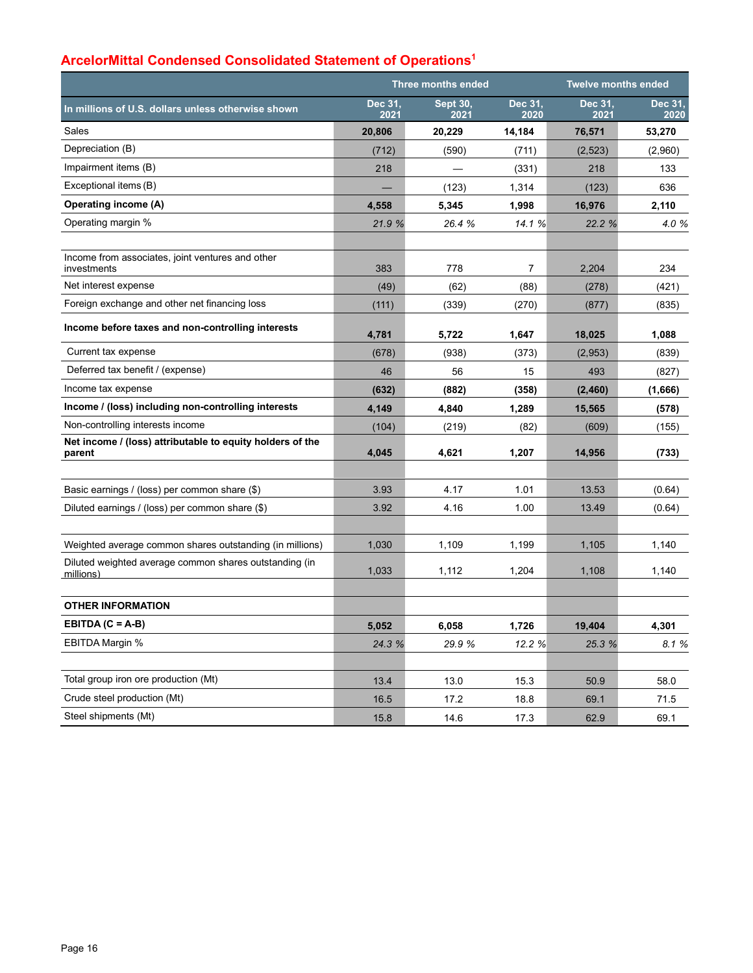# **ArcelorMittal Condensed Consolidated Statement of Operations1**

|                                                                     |                 | <b>Three months ended</b> | <b>Twelve months ended</b> |                 |                 |
|---------------------------------------------------------------------|-----------------|---------------------------|----------------------------|-----------------|-----------------|
| In millions of U.S. dollars unless otherwise shown                  | Dec 31,<br>2021 | <b>Sept 30,</b><br>2021   | Dec 31,<br>2020            | Dec 31,<br>2021 | Dec 31,<br>2020 |
| Sales                                                               | 20,806          | 20,229                    | 14,184                     | 76,571          | 53,270          |
| Depreciation (B)                                                    | (712)           | (590)                     | (711)                      | (2, 523)        | (2,960)         |
| Impairment items (B)                                                | 218             |                           | (331)                      | 218             | 133             |
| Exceptional items (B)                                               |                 | (123)                     | 1,314                      | (123)           | 636             |
| <b>Operating income (A)</b>                                         | 4,558           | 5,345                     | 1,998                      | 16,976          | 2,110           |
| Operating margin %                                                  | 21.9%           | 26.4 %                    | 14.1%                      | 22.2 %          | 4.0%            |
| Income from associates, joint ventures and other<br>investments     | 383             | 778                       | 7                          | 2,204           | 234             |
| Net interest expense                                                | (49)            | (62)                      | (88)                       | (278)           | (421)           |
| Foreign exchange and other net financing loss                       | (111)           | (339)                     | (270)                      | (877)           | (835)           |
| Income before taxes and non-controlling interests                   | 4,781           | 5,722                     | 1,647                      | 18,025          | 1,088           |
| Current tax expense                                                 | (678)           | (938)                     | (373)                      | (2,953)         | (839)           |
| Deferred tax benefit / (expense)                                    | 46              | 56                        | 15                         | 493             | (827)           |
| Income tax expense                                                  | (632)           | (882)                     | (358)                      | (2,460)         | (1,666)         |
| Income / (loss) including non-controlling interests                 | 4,149           | 4,840                     | 1,289                      | 15,565          | (578)           |
| Non-controlling interests income                                    | (104)           | (219)                     | (82)                       | (609)           | (155)           |
| Net income / (loss) attributable to equity holders of the<br>parent | 4,045           | 4,621                     | 1,207                      | 14,956          | (733)           |
|                                                                     |                 |                           |                            |                 |                 |
| Basic earnings / (loss) per common share (\$)                       | 3.93            | 4.17                      | 1.01                       | 13.53           | (0.64)          |
| Diluted earnings / (loss) per common share (\$)                     | 3.92            | 4.16                      | 1.00                       | 13.49           | (0.64)          |
| Weighted average common shares outstanding (in millions)            | 1,030           | 1,109                     | 1,199                      | 1,105           | 1,140           |
| Diluted weighted average common shares outstanding (in<br>millions) | 1,033           | 1,112                     | 1,204                      | 1,108           | 1,140           |
| <b>OTHER INFORMATION</b>                                            |                 |                           |                            |                 |                 |
| EBITDA (C = A-B)                                                    | 5,052           | 6,058                     | 1,726                      | 19,404          | 4,301           |
| EBITDA Margin %                                                     | 24.3%           | 29.9 %                    | 12.2 %                     | 25.3 %          | 8.1%            |
|                                                                     |                 |                           |                            |                 |                 |
| Total group iron ore production (Mt)                                | 13.4            | 13.0                      | 15.3                       | 50.9            | 58.0            |
| Crude steel production (Mt)                                         | 16.5            | 17.2                      | 18.8                       | 69.1            | 71.5            |
| Steel shipments (Mt)                                                | 15.8            | 14.6                      | 17.3                       | 62.9            | 69.1            |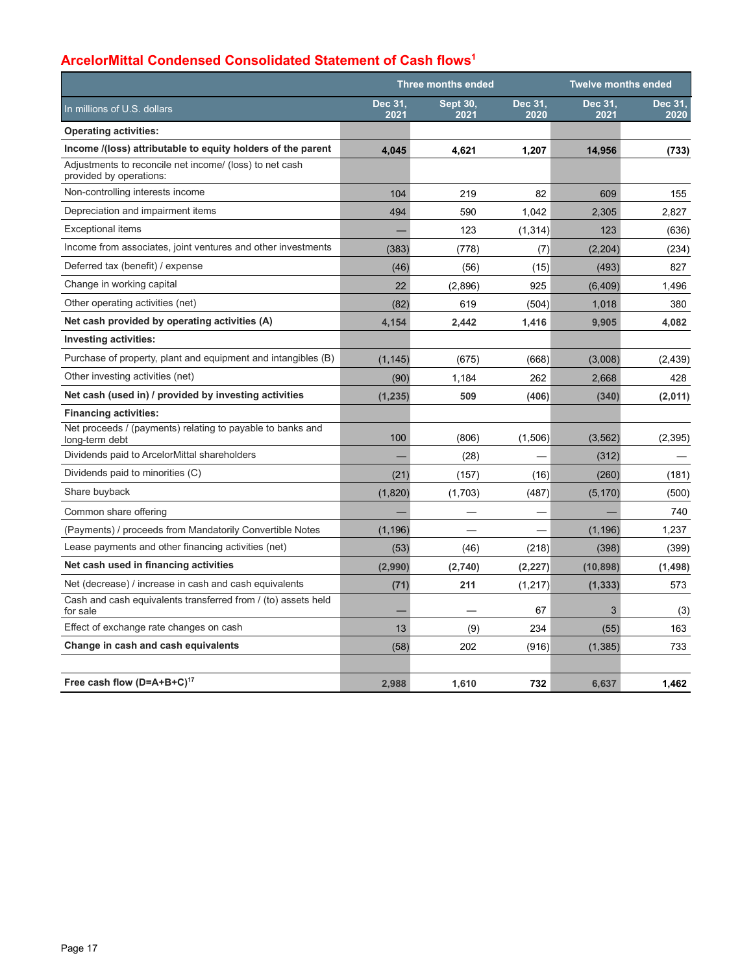# **ArcelorMittal Condensed Consolidated Statement of Cash flows1**

|                                                                                    |                 | <b>Three months ended</b> |                 | <b>Twelve months ended</b> |                 |
|------------------------------------------------------------------------------------|-----------------|---------------------------|-----------------|----------------------------|-----------------|
| In millions of U.S. dollars                                                        | Dec 31,<br>2021 | <b>Sept 30,</b><br>2021   | Dec 31,<br>2020 | Dec 31,<br>2021            | Dec 31,<br>2020 |
| <b>Operating activities:</b>                                                       |                 |                           |                 |                            |                 |
| Income /(loss) attributable to equity holders of the parent                        | 4,045           | 4.621                     | 1,207           | 14,956                     | (733)           |
| Adjustments to reconcile net income/ (loss) to net cash<br>provided by operations: |                 |                           |                 |                            |                 |
| Non-controlling interests income                                                   | 104             | 219                       | 82              | 609                        | 155             |
| Depreciation and impairment items                                                  | 494             | 590                       | 1,042           | 2,305                      | 2,827           |
| <b>Exceptional items</b>                                                           |                 | 123                       | (1, 314)        | 123                        | (636)           |
| Income from associates, joint ventures and other investments                       | (383)           | (778)                     | (7)             | (2,204)                    | (234)           |
| Deferred tax (benefit) / expense                                                   | (46)            | (56)                      | (15)            | (493)                      | 827             |
| Change in working capital                                                          | 22              | (2,896)                   | 925             | (6, 409)                   | 1,496           |
| Other operating activities (net)                                                   | (82)            | 619                       | (504)           | 1,018                      | 380             |
| Net cash provided by operating activities (A)                                      | 4,154           | 2,442                     | 1,416           | 9,905                      | 4,082           |
| Investing activities:                                                              |                 |                           |                 |                            |                 |
| Purchase of property, plant and equipment and intangibles (B)                      | (1, 145)        | (675)                     | (668)           | (3,008)                    | (2, 439)        |
| Other investing activities (net)                                                   | (90)            | 1,184                     | 262             | 2.668                      | 428             |
| Net cash (used in) / provided by investing activities                              | (1, 235)        | 509                       | (406)           | (340)                      | (2,011)         |
| <b>Financing activities:</b>                                                       |                 |                           |                 |                            |                 |
| Net proceeds / (payments) relating to payable to banks and<br>long-term debt       | 100             | (806)                     | (1,506)         | (3, 562)                   | (2, 395)        |
| Dividends paid to ArcelorMittal shareholders                                       |                 | (28)                      |                 | (312)                      |                 |
| Dividends paid to minorities (C)                                                   | (21)            | (157)                     | (16)            | (260)                      | (181)           |
| Share buyback                                                                      | (1,820)         | (1,703)                   | (487)           | (5, 170)                   | (500)           |
| Common share offering                                                              |                 |                           |                 |                            | 740             |
| (Payments) / proceeds from Mandatorily Convertible Notes                           | (1, 196)        |                           |                 | (1, 196)                   | 1,237           |
| Lease payments and other financing activities (net)                                | (53)            | (46)                      | (218)           | (398)                      | (399)           |
| Net cash used in financing activities                                              | (2,990)         | (2,740)                   | (2,227)         | (10,898)                   | (1,498)         |
| Net (decrease) / increase in cash and cash equivalents                             | (71)            | 211                       | (1, 217)        | (1, 333)                   | 573             |
| Cash and cash equivalents transferred from / (to) assets held<br>for sale          |                 |                           | 67              | 3                          | (3)             |
| Effect of exchange rate changes on cash                                            | 13              | (9)                       | 234             | (55)                       | 163             |
| Change in cash and cash equivalents                                                | (58)            | 202                       | (916)           | (1, 385)                   | 733             |
| Free cash flow (D=A+B+C) <sup>17</sup>                                             | 2,988           | 1,610                     | 732             | 6,637                      | 1,462           |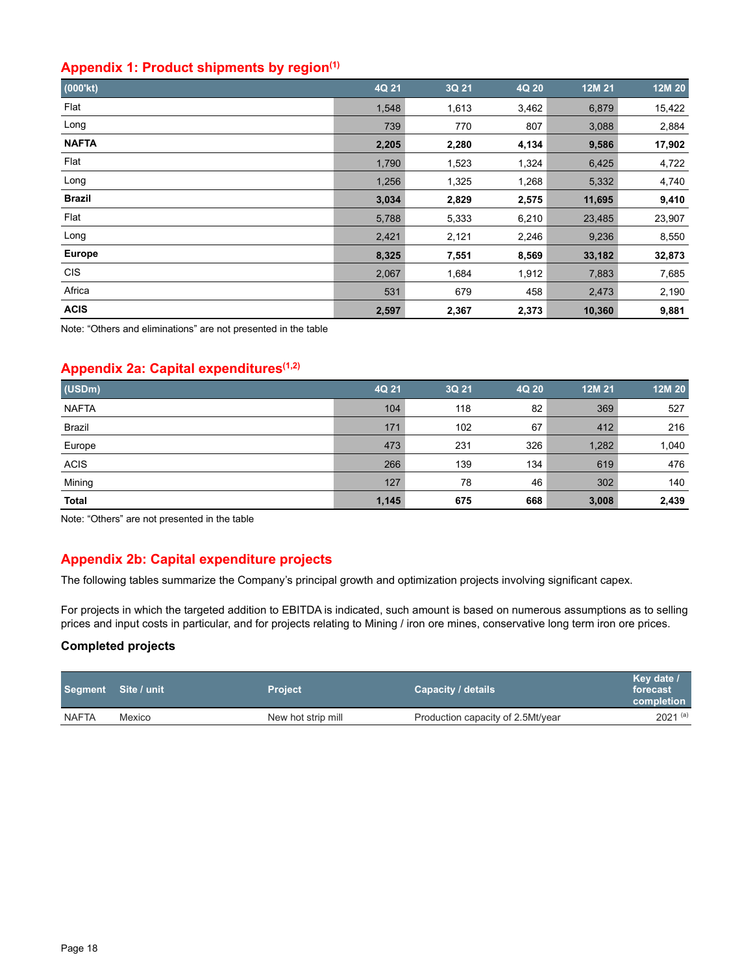# **Appendix 1: Product shipments by region(1)**

| (000'kt)      | 4Q 21 | 3Q 21 | 4Q 20 | 12M 21 | 12M 20 |
|---------------|-------|-------|-------|--------|--------|
| Flat          | 1,548 | 1,613 | 3,462 | 6,879  | 15,422 |
| Long          | 739   | 770   | 807   | 3,088  | 2,884  |
| <b>NAFTA</b>  | 2,205 | 2,280 | 4,134 | 9,586  | 17,902 |
| Flat          | 1,790 | 1,523 | 1,324 | 6,425  | 4,722  |
| Long          | 1,256 | 1,325 | 1,268 | 5,332  | 4,740  |
| <b>Brazil</b> | 3,034 | 2,829 | 2,575 | 11,695 | 9,410  |
| Flat          | 5,788 | 5,333 | 6,210 | 23,485 | 23,907 |
| Long          | 2,421 | 2,121 | 2,246 | 9,236  | 8,550  |
| <b>Europe</b> | 8,325 | 7,551 | 8,569 | 33,182 | 32,873 |
| <b>CIS</b>    | 2,067 | 1,684 | 1,912 | 7,883  | 7,685  |
| Africa        | 531   | 679   | 458   | 2,473  | 2,190  |
| <b>ACIS</b>   | 2,597 | 2,367 | 2,373 | 10,360 | 9,881  |

Note: "Others and eliminations" are not presented in the table

# **Appendix 2a: Capital expenditures(1,2)**

| (USDm)       | 4Q 21 | 3Q 21 | 4Q 20 | 12M 21 | 12M 20 |
|--------------|-------|-------|-------|--------|--------|
| <b>NAFTA</b> | 104   | 118   | 82    | 369    | 527    |
| Brazil       | 171   | 102   | 67    | 412    | 216    |
| Europe       | 473   | 231   | 326   | 1,282  | 1,040  |
| <b>ACIS</b>  | 266   | 139   | 134   | 619    | 476    |
| Mining       | 127   | 78    | 46    | 302    | 140    |
| <b>Total</b> | 1,145 | 675   | 668   | 3,008  | 2,439  |

Note: "Others" are not presented in the table

## **Appendix 2b: Capital expenditure projects**

The following tables summarize the Company's principal growth and optimization projects involving significant capex.

For projects in which the targeted addition to EBITDA is indicated, such amount is based on numerous assumptions as to selling prices and input costs in particular, and for projects relating to Mining / iron ore mines, conservative long term iron ore prices.

#### **Completed projects**

|              | Segment Site / unit | <b>Project</b>     | Capacity / details                | Key date /<br>forecast<br>completion |
|--------------|---------------------|--------------------|-----------------------------------|--------------------------------------|
| <b>NAFTA</b> | Mexico              | New hot strip mill | Production capacity of 2.5Mt/year | $2021^{(a)}$                         |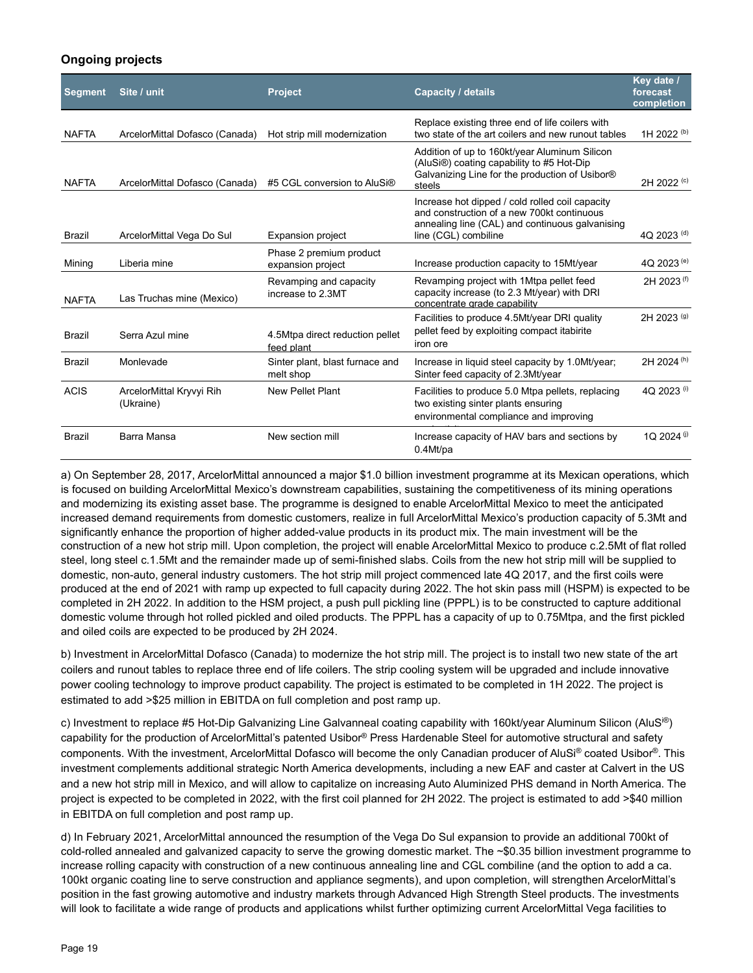## **Ongoing projects**

| <b>Segment</b> | Site / unit                           | <b>Project</b>                                | <b>Capacity / details</b>                                                                                                                                                | Key date /<br>forecast<br>completion |
|----------------|---------------------------------------|-----------------------------------------------|--------------------------------------------------------------------------------------------------------------------------------------------------------------------------|--------------------------------------|
| <b>NAFTA</b>   | ArcelorMittal Dofasco (Canada)        | Hot strip mill modernization                  | Replace existing three end of life coilers with<br>two state of the art coilers and new runout tables                                                                    | 1H 2022 <sup>(b)</sup>               |
| <b>NAFTA</b>   | ArcelorMittal Dofasco (Canada)        | #5 CGL conversion to AluSi®                   | Addition of up to 160kt/year Aluminum Silicon<br>(AluSi <sup>®</sup> ) coating capability to #5 Hot-Dip<br>Galvanizing Line for the production of Usibor®<br>steels      | 2H 2022 <sup>(c)</sup>               |
| Brazil         | ArcelorMittal Vega Do Sul             | <b>Expansion project</b>                      | Increase hot dipped / cold rolled coil capacity<br>and construction of a new 700kt continuous<br>annealing line (CAL) and continuous galvanising<br>line (CGL) combiline | 4Q 2023 (d)                          |
| Mining         | Liberia mine                          | Phase 2 premium product<br>expansion project  | Increase production capacity to 15Mt/year                                                                                                                                | 4Q 2023 <sup>(e)</sup>               |
| <b>NAFTA</b>   | Las Truchas mine (Mexico)             | Revamping and capacity<br>increase to 2.3MT   | Revamping project with 1Mtpa pellet feed<br>capacity increase (to 2.3 Mt/year) with DRI<br>concentrate grade capability                                                  | 2H 2023 <sup>(f)</sup>               |
| <b>Brazil</b>  | Serra Azul mine                       | 4.5Mtpa direct reduction pellet<br>feed plant | Facilities to produce 4.5Mt/year DRI quality<br>pellet feed by exploiting compact itabirite<br>iron ore                                                                  | 2H 2023 (g)                          |
| Brazil         | Monlevade                             | Sinter plant, blast furnace and<br>melt shop  | Increase in liquid steel capacity by 1.0Mt/year;<br>Sinter feed capacity of 2.3Mt/year                                                                                   | 2H 2024 (h)                          |
| <b>ACIS</b>    | ArcelorMittal Kryvyi Rih<br>(Ukraine) | <b>New Pellet Plant</b>                       | Facilities to produce 5.0 Mtpa pellets, replacing<br>two existing sinter plants ensuring<br>environmental compliance and improving                                       | 4Q 2023 <sup>(i)</sup>               |
| <b>Brazil</b>  | Barra Mansa                           | New section mill                              | Increase capacity of HAV bars and sections by<br>$0.4$ Mt/pa                                                                                                             | 1Q 2024 $(i)$                        |

a) On September 28, 2017, ArcelorMittal announced a major \$1.0 billion investment programme at its Mexican operations, which is focused on building ArcelorMittal Mexico's downstream capabilities, sustaining the competitiveness of its mining operations and modernizing its existing asset base. The programme is designed to enable ArcelorMittal Mexico to meet the anticipated increased demand requirements from domestic customers, realize in full ArcelorMittal Mexico's production capacity of 5.3Mt and significantly enhance the proportion of higher added-value products in its product mix. The main investment will be the construction of a new hot strip mill. Upon completion, the project will enable ArcelorMittal Mexico to produce c.2.5Mt of flat rolled steel, long steel c.1.5Mt and the remainder made up of semi-finished slabs. Coils from the new hot strip mill will be supplied to domestic, non-auto, general industry customers. The hot strip mill project commenced late 4Q 2017, and the first coils were produced at the end of 2021 with ramp up expected to full capacity during 2022. The hot skin pass mill (HSPM) is expected to be completed in 2H 2022. In addition to the HSM project, a push pull pickling line (PPPL) is to be constructed to capture additional domestic volume through hot rolled pickled and oiled products. The PPPL has a capacity of up to 0.75Mtpa, and the first pickled and oiled coils are expected to be produced by 2H 2024.

b) Investment in ArcelorMittal Dofasco (Canada) to modernize the hot strip mill. The project is to install two new state of the art coilers and runout tables to replace three end of life coilers. The strip cooling system will be upgraded and include innovative power cooling technology to improve product capability. The project is estimated to be completed in 1H 2022. The project is estimated to add >\$25 million in EBITDA on full completion and post ramp up.

c) Investment to replace #5 Hot-Dip Galvanizing Line Galvanneal coating capability with 160kt/year Aluminum Silicon (AluSi®) capability for the production of ArcelorMittal's patented Usibor® Press Hardenable Steel for automotive structural and safety components. With the investment, ArcelorMittal Dofasco will become the only Canadian producer of AluSi® coated Usibor®. This investment complements additional strategic North America developments, including a new EAF and caster at Calvert in the US and a new hot strip mill in Mexico, and will allow to capitalize on increasing Auto Aluminized PHS demand in North America. The project is expected to be completed in 2022, with the first coil planned for 2H 2022. The project is estimated to add >\$40 million in EBITDA on full completion and post ramp up.

d) In February 2021, ArcelorMittal announced the resumption of the Vega Do Sul expansion to provide an additional 700kt of cold-rolled annealed and galvanized capacity to serve the growing domestic market. The ~\$0.35 billion investment programme to increase rolling capacity with construction of a new continuous annealing line and CGL combiline (and the option to add a ca. 100kt organic coating line to serve construction and appliance segments), and upon completion, will strengthen ArcelorMittal's position in the fast growing automotive and industry markets through Advanced High Strength Steel products. The investments will look to facilitate a wide range of products and applications whilst further optimizing current ArcelorMittal Vega facilities to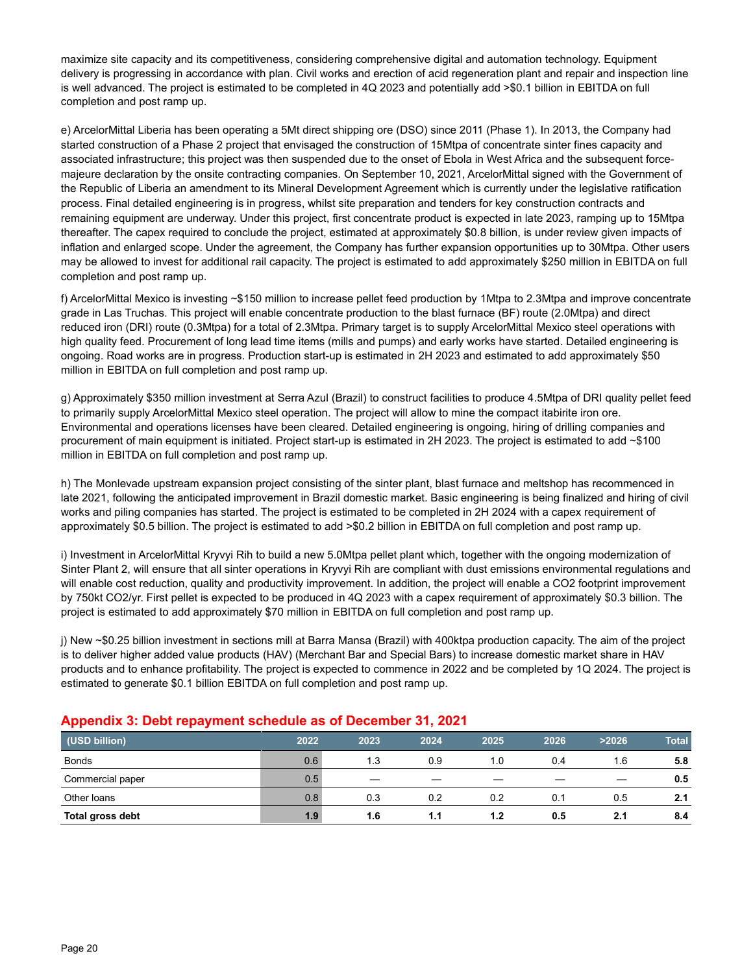maximize site capacity and its competitiveness, considering comprehensive digital and automation technology. Equipment delivery is progressing in accordance with plan. Civil works and erection of acid regeneration plant and repair and inspection line is well advanced. The project is estimated to be completed in 4Q 2023 and potentially add >\$0.1 billion in EBITDA on full completion and post ramp up.

e) ArcelorMittal Liberia has been operating a 5Mt direct shipping ore (DSO) since 2011 (Phase 1). In 2013, the Company had started construction of a Phase 2 project that envisaged the construction of 15Mtpa of concentrate sinter fines capacity and associated infrastructure; this project was then suspended due to the onset of Ebola in West Africa and the subsequent forcemajeure declaration by the onsite contracting companies. On September 10, 2021, ArcelorMittal signed with the Government of the Republic of Liberia an amendment to its Mineral Development Agreement which is currently under the legislative ratification process. Final detailed engineering is in progress, whilst site preparation and tenders for key construction contracts and remaining equipment are underway. Under this project, first concentrate product is expected in late 2023, ramping up to 15Mtpa thereafter. The capex required to conclude the project, estimated at approximately \$0.8 billion, is under review given impacts of inflation and enlarged scope. Under the agreement, the Company has further expansion opportunities up to 30Mtpa. Other users may be allowed to invest for additional rail capacity. The project is estimated to add approximately \$250 million in EBITDA on full completion and post ramp up.

f) ArcelorMittal Mexico is investing ~\$150 million to increase pellet feed production by 1Mtpa to 2.3Mtpa and improve concentrate grade in Las Truchas. This project will enable concentrate production to the blast furnace (BF) route (2.0Mtpa) and direct reduced iron (DRI) route (0.3Mtpa) for a total of 2.3Mtpa. Primary target is to supply ArcelorMittal Mexico steel operations with high quality feed. Procurement of long lead time items (mills and pumps) and early works have started. Detailed engineering is ongoing. Road works are in progress. Production start-up is estimated in 2H 2023 and estimated to add approximately \$50 million in EBITDA on full completion and post ramp up.

g) Approximately \$350 million investment at Serra Azul (Brazil) to construct facilities to produce 4.5Mtpa of DRI quality pellet feed to primarily supply ArcelorMittal Mexico steel operation. The project will allow to mine the compact itabirite iron ore. Environmental and operations licenses have been cleared. Detailed engineering is ongoing, hiring of drilling companies and procurement of main equipment is initiated. Project start-up is estimated in 2H 2023. The project is estimated to add ~\$100 million in EBITDA on full completion and post ramp up.

h) The Monlevade upstream expansion project consisting of the sinter plant, blast furnace and meltshop has recommenced in late 2021, following the anticipated improvement in Brazil domestic market. Basic engineering is being finalized and hiring of civil works and piling companies has started. The project is estimated to be completed in 2H 2024 with a capex requirement of approximately \$0.5 billion. The project is estimated to add >\$0.2 billion in EBITDA on full completion and post ramp up.

i) Investment in ArcelorMittal Kryvyi Rih to build a new 5.0Mtpa pellet plant which, together with the ongoing modernization of Sinter Plant 2, will ensure that all sinter operations in Kryvyi Rih are compliant with dust emissions environmental regulations and will enable cost reduction, quality and productivity improvement. In addition, the project will enable a CO2 footprint improvement by 750kt CO2/yr. First pellet is expected to be produced in 4Q 2023 with a capex requirement of approximately \$0.3 billion. The project is estimated to add approximately \$70 million in EBITDA on full completion and post ramp up.

j) New ~\$0.25 billion investment in sections mill at Barra Mansa (Brazil) with 400ktpa production capacity. The aim of the project is to deliver higher added value products (HAV) (Merchant Bar and Special Bars) to increase domestic market share in HAV products and to enhance profitability. The project is expected to commence in 2022 and be completed by 1Q 2024. The project is estimated to generate \$0.1 billion EBITDA on full completion and post ramp up.

| (USD billion)    | 2022 | 2023 | 2024                     | 2025 | 2026 | >2026 | <b>Total</b> |
|------------------|------|------|--------------------------|------|------|-------|--------------|
| <b>Bonds</b>     | 0.6  | 1.3  | 0.9                      | 1.0  | 0.4  | 1.6   | 5.8          |
| Commercial paper | 0.5  |      | $\overline{\phantom{a}}$ |      |      |       | 0.5          |
| Other loans      | 0.8  | 0.3  | 0.2                      | 0.2  | 0.1  | 0.5   | 2.1          |
| Total gross debt | 1.9  | 1.6  | 1.1                      | 1.2  | 0.5  | 2.1   | 8.4          |

# **Appendix 3: Debt repayment schedule as of December 31, 2021**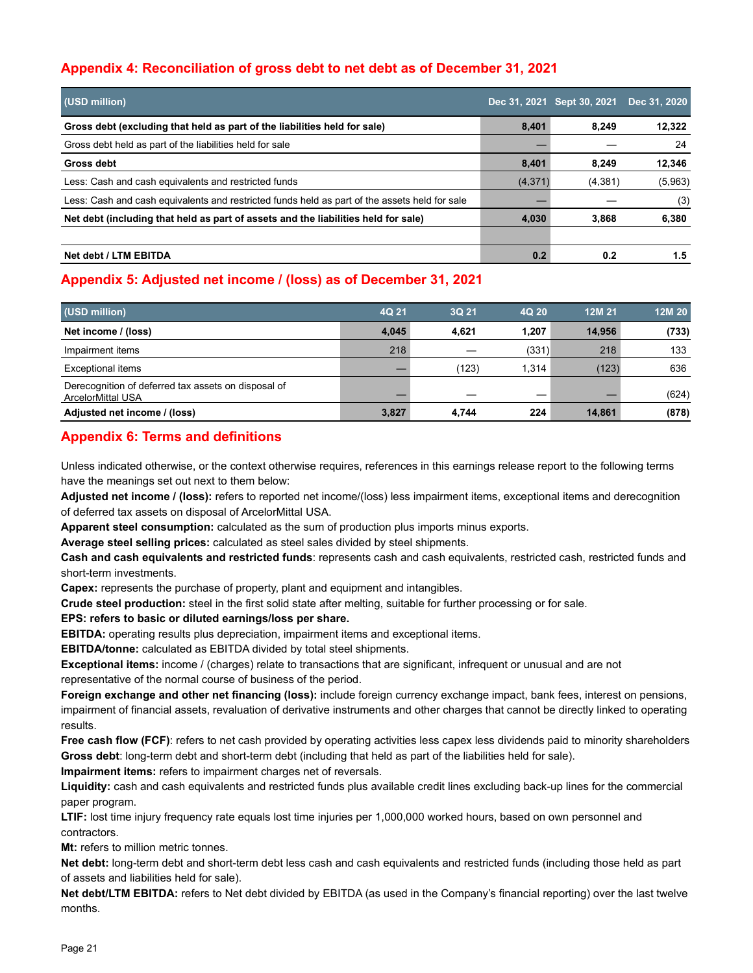# **Appendix 4: Reconciliation of gross debt to net debt as of December 31, 2021**

| (USD million)                                                                                 |          | Dec 31, 2021 Sept 30, 2021 | Dec 31, 2020 |
|-----------------------------------------------------------------------------------------------|----------|----------------------------|--------------|
| Gross debt (excluding that held as part of the liabilities held for sale)                     | 8,401    | 8.249                      | 12.322       |
| Gross debt held as part of the liabilities held for sale                                      |          |                            | 24           |
| Gross debt                                                                                    | 8,401    | 8.249                      | 12.346       |
| Less: Cash and cash equivalents and restricted funds                                          | (4, 371) | (4,381)                    | (5,963)      |
| Less: Cash and cash equivalents and restricted funds held as part of the assets held for sale |          |                            | (3)          |
| Net debt (including that held as part of assets and the liabilities held for sale)            | 4,030    | 3.868                      | 6,380        |
| Net debt / LTM EBITDA                                                                         | 0.2      | 0.2                        | 1.5          |

## **Appendix 5: Adjusted net income / (loss) as of December 31, 2021**

| (USD million)                                                                   | 4Q 21 | 3Q 21 | 4Q 20 | 12M 21 | 12M 20 |
|---------------------------------------------------------------------------------|-------|-------|-------|--------|--------|
| Net income / (loss)                                                             | 4,045 | 4.621 | 1.207 | 14,956 | (733)  |
| Impairment items                                                                | 218   |       | (331) | 218    | 133    |
| <b>Exceptional items</b>                                                        |       | (123) | 1,314 | (123)  | 636    |
| Derecognition of deferred tax assets on disposal of<br><b>ArcelorMittal USA</b> |       |       |       |        | (624)  |
| Adjusted net income / (loss)                                                    | 3,827 | 4.744 | 224   | 14,861 | (878)  |

## **Appendix 6: Terms and definitions**

Unless indicated otherwise, or the context otherwise requires, references in this earnings release report to the following terms have the meanings set out next to them below:

**Adjusted net income / (loss):** refers to reported net income/(loss) less impairment items, exceptional items and derecognition of deferred tax assets on disposal of ArcelorMittal USA.

**Apparent steel consumption:** calculated as the sum of production plus imports minus exports.

**Average steel selling prices:** calculated as steel sales divided by steel shipments.

**Cash and cash equivalents and restricted funds**: represents cash and cash equivalents, restricted cash, restricted funds and short-term investments.

**Capex:** represents the purchase of property, plant and equipment and intangibles.

**Crude steel production:** steel in the first solid state after melting, suitable for further processing or for sale.

**EPS: refers to basic or diluted earnings/loss per share.** 

**EBITDA:** operating results plus depreciation, impairment items and exceptional items.

**EBITDA/tonne:** calculated as EBITDA divided by total steel shipments.

**Exceptional items:** income / (charges) relate to transactions that are significant, infrequent or unusual and are not representative of the normal course of business of the period.

**Foreign exchange and other net financing (loss):** include foreign currency exchange impact, bank fees, interest on pensions, impairment of financial assets, revaluation of derivative instruments and other charges that cannot be directly linked to operating results.

Free cash flow (FCF): refers to net cash provided by operating activities less capex less dividends paid to minority shareholders **Gross debt**: long-term debt and short-term debt (including that held as part of the liabilities held for sale).

**Impairment items:** refers to impairment charges net of reversals.

**Liquidity:** cash and cash equivalents and restricted funds plus available credit lines excluding back-up lines for the commercial paper program.

**LTIF:** lost time injury frequency rate equals lost time injuries per 1,000,000 worked hours, based on own personnel and contractors.

**Mt:** refers to million metric tonnes.

**Net debt:** long-term debt and short-term debt less cash and cash equivalents and restricted funds (including those held as part of assets and liabilities held for sale).

**Net debt/LTM EBITDA:** refers to Net debt divided by EBITDA (as used in the Company's financial reporting) over the last twelve months.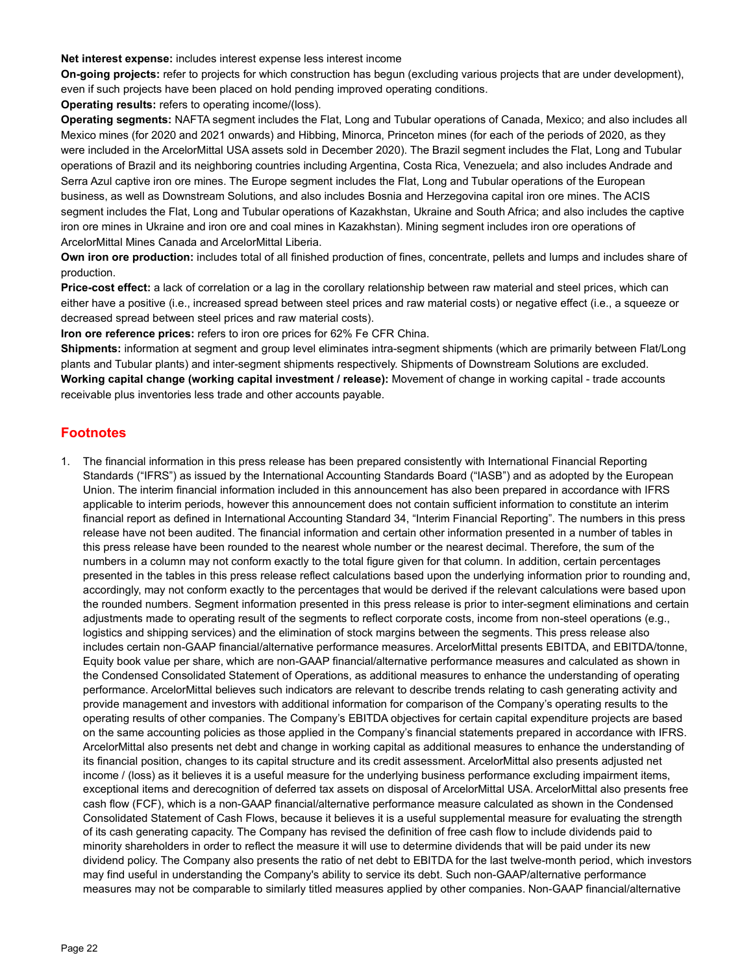**Net interest expense:** includes interest expense less interest income

**On-going projects:** refer to projects for which construction has begun (excluding various projects that are under development), even if such projects have been placed on hold pending improved operating conditions.

**Operating results:** refers to operating income/(loss).

**Operating segments:** NAFTA segment includes the Flat, Long and Tubular operations of Canada, Mexico; and also includes all Mexico mines (for 2020 and 2021 onwards) and Hibbing, Minorca, Princeton mines (for each of the periods of 2020, as they were included in the ArcelorMittal USA assets sold in December 2020). The Brazil segment includes the Flat, Long and Tubular operations of Brazil and its neighboring countries including Argentina, Costa Rica, Venezuela; and also includes Andrade and Serra Azul captive iron ore mines. The Europe segment includes the Flat, Long and Tubular operations of the European business, as well as Downstream Solutions, and also includes Bosnia and Herzegovina capital iron ore mines. The ACIS segment includes the Flat, Long and Tubular operations of Kazakhstan, Ukraine and South Africa; and also includes the captive iron ore mines in Ukraine and iron ore and coal mines in Kazakhstan). Mining segment includes iron ore operations of ArcelorMittal Mines Canada and ArcelorMittal Liberia.

**Own iron ore production:** includes total of all finished production of fines, concentrate, pellets and lumps and includes share of production.

**Price-cost effect:** a lack of correlation or a lag in the corollary relationship between raw material and steel prices, which can either have a positive (i.e., increased spread between steel prices and raw material costs) or negative effect (i.e., a squeeze or decreased spread between steel prices and raw material costs).

**Iron ore reference prices:** refers to iron ore prices for 62% Fe CFR China.

**Shipments:** information at segment and group level eliminates intra-segment shipments (which are primarily between Flat/Long plants and Tubular plants) and inter-segment shipments respectively. Shipments of Downstream Solutions are excluded. **Working capital change (working capital investment / release):** Movement of change in working capital - trade accounts receivable plus inventories less trade and other accounts payable.

## **Footnotes**

1. The financial information in this press release has been prepared consistently with International Financial Reporting Standards ("IFRS") as issued by the International Accounting Standards Board ("IASB") and as adopted by the European Union. The interim financial information included in this announcement has also been prepared in accordance with IFRS applicable to interim periods, however this announcement does not contain sufficient information to constitute an interim financial report as defined in International Accounting Standard 34, "Interim Financial Reporting". The numbers in this press release have not been audited. The financial information and certain other information presented in a number of tables in this press release have been rounded to the nearest whole number or the nearest decimal. Therefore, the sum of the numbers in a column may not conform exactly to the total figure given for that column. In addition, certain percentages presented in the tables in this press release reflect calculations based upon the underlying information prior to rounding and, accordingly, may not conform exactly to the percentages that would be derived if the relevant calculations were based upon the rounded numbers. Segment information presented in this press release is prior to inter-segment eliminations and certain adjustments made to operating result of the segments to reflect corporate costs, income from non-steel operations (e.g., logistics and shipping services) and the elimination of stock margins between the segments. This press release also includes certain non-GAAP financial/alternative performance measures. ArcelorMittal presents EBITDA, and EBITDA/tonne, Equity book value per share, which are non-GAAP financial/alternative performance measures and calculated as shown in the Condensed Consolidated Statement of Operations, as additional measures to enhance the understanding of operating performance. ArcelorMittal believes such indicators are relevant to describe trends relating to cash generating activity and provide management and investors with additional information for comparison of the Company's operating results to the operating results of other companies. The Company's EBITDA objectives for certain capital expenditure projects are based on the same accounting policies as those applied in the Company's financial statements prepared in accordance with IFRS. ArcelorMittal also presents net debt and change in working capital as additional measures to enhance the understanding of its financial position, changes to its capital structure and its credit assessment. ArcelorMittal also presents adjusted net income / (loss) as it believes it is a useful measure for the underlying business performance excluding impairment items, exceptional items and derecognition of deferred tax assets on disposal of ArcelorMittal USA. ArcelorMittal also presents free cash flow (FCF), which is a non-GAAP financial/alternative performance measure calculated as shown in the Condensed Consolidated Statement of Cash Flows, because it believes it is a useful supplemental measure for evaluating the strength of its cash generating capacity. The Company has revised the definition of free cash flow to include dividends paid to minority shareholders in order to reflect the measure it will use to determine dividends that will be paid under its new dividend policy. The Company also presents the ratio of net debt to EBITDA for the last twelve-month period, which investors may find useful in understanding the Company's ability to service its debt. Such non-GAAP/alternative performance measures may not be comparable to similarly titled measures applied by other companies. Non-GAAP financial/alternative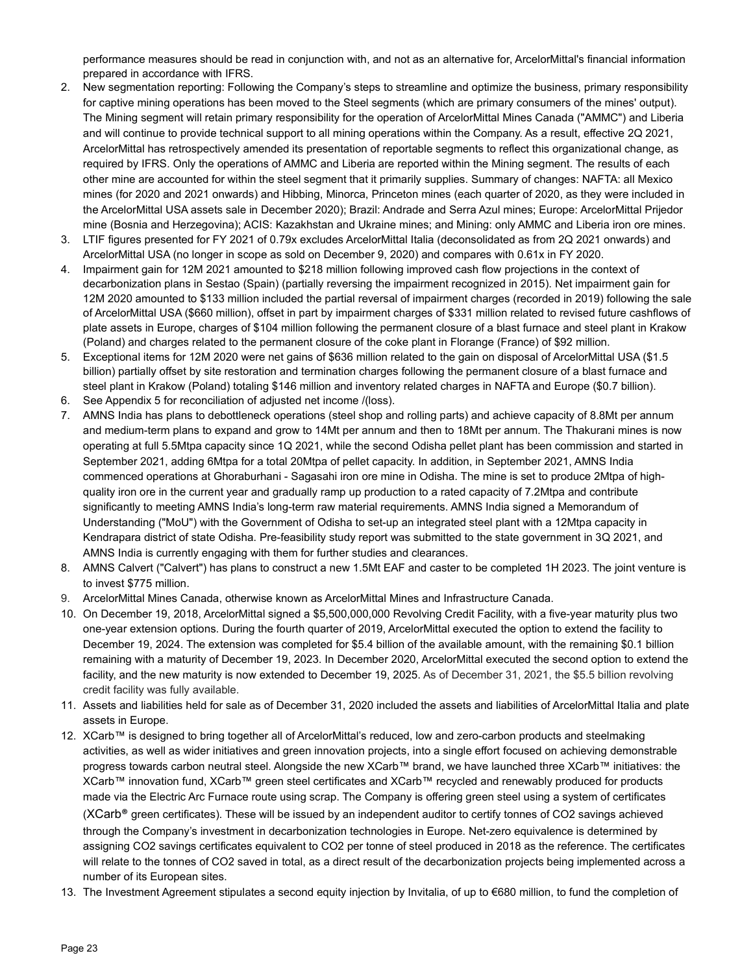performance measures should be read in conjunction with, and not as an alternative for, ArcelorMittal's financial information prepared in accordance with IFRS.

- 2. New segmentation reporting: Following the Company's steps to streamline and optimize the business, primary responsibility for captive mining operations has been moved to the Steel segments (which are primary consumers of the mines' output). The Mining segment will retain primary responsibility for the operation of ArcelorMittal Mines Canada ("AMMC") and Liberia and will continue to provide technical support to all mining operations within the Company. As a result, effective 2Q 2021, ArcelorMittal has retrospectively amended its presentation of reportable segments to reflect this organizational change, as required by IFRS. Only the operations of AMMC and Liberia are reported within the Mining segment. The results of each other mine are accounted for within the steel segment that it primarily supplies. Summary of changes: NAFTA: all Mexico mines (for 2020 and 2021 onwards) and Hibbing, Minorca, Princeton mines (each quarter of 2020, as they were included in the ArcelorMittal USA assets sale in December 2020); Brazil: Andrade and Serra Azul mines; Europe: ArcelorMittal Prijedor mine (Bosnia and Herzegovina); ACIS: Kazakhstan and Ukraine mines; and Mining: only AMMC and Liberia iron ore mines.
- 3. LTIF figures presented for FY 2021 of 0.79x excludes ArcelorMittal Italia (deconsolidated as from 2Q 2021 onwards) and ArcelorMittal USA (no longer in scope as sold on December 9, 2020) and compares with 0.61x in FY 2020.
- 4. Impairment gain for 12M 2021 amounted to \$218 million following improved cash flow projections in the context of decarbonization plans in Sestao (Spain) (partially reversing the impairment recognized in 2015). Net impairment gain for 12M 2020 amounted to \$133 million included the partial reversal of impairment charges (recorded in 2019) following the sale of ArcelorMittal USA (\$660 million), offset in part by impairment charges of \$331 million related to revised future cashflows of plate assets in Europe, charges of \$104 million following the permanent closure of a blast furnace and steel plant in Krakow (Poland) and charges related to the permanent closure of the coke plant in Florange (France) of \$92 million.
- 5. Exceptional items for 12M 2020 were net gains of \$636 million related to the gain on disposal of ArcelorMittal USA (\$1.5 billion) partially offset by site restoration and termination charges following the permanent closure of a blast furnace and steel plant in Krakow (Poland) totaling \$146 million and inventory related charges in NAFTA and Europe (\$0.7 billion).
- 6. See Appendix 5 for reconciliation of adjusted net income /(loss).
- 7. AMNS India has plans to debottleneck operations (steel shop and rolling parts) and achieve capacity of 8.8Mt per annum and medium-term plans to expand and grow to 14Mt per annum and then to 18Mt per annum. The Thakurani mines is now operating at full 5.5Mtpa capacity since 1Q 2021, while the second Odisha pellet plant has been commission and started in September 2021, adding 6Mtpa for a total 20Mtpa of pellet capacity. In addition, in September 2021, AMNS India commenced operations at Ghoraburhani - Sagasahi iron ore mine in Odisha. The mine is set to produce 2Mtpa of highquality iron ore in the current year and gradually ramp up production to a rated capacity of 7.2Mtpa and contribute significantly to meeting AMNS India's long-term raw material requirements. AMNS India signed a Memorandum of Understanding ("MoU") with the Government of Odisha to set-up an integrated steel plant with a 12Mtpa capacity in Kendrapara district of state Odisha. Pre-feasibility study report was submitted to the state government in 3Q 2021, and AMNS India is currently engaging with them for further studies and clearances.
- 8. AMNS Calvert ("Calvert") has plans to construct a new 1.5Mt EAF and caster to be completed 1H 2023. The joint venture is to invest \$775 million.
- 9. ArcelorMittal Mines Canada, otherwise known as ArcelorMittal Mines and Infrastructure Canada.
- 10. On December 19, 2018, ArcelorMittal signed a \$5,500,000,000 Revolving Credit Facility, with a five-year maturity plus two one-year extension options. During the fourth quarter of 2019, ArcelorMittal executed the option to extend the facility to December 19, 2024. The extension was completed for \$5.4 billion of the available amount, with the remaining \$0.1 billion remaining with a maturity of December 19, 2023. In December 2020, ArcelorMittal executed the second option to extend the facility, and the new maturity is now extended to December 19, 2025. As of December 31, 2021, the \$5.5 billion revolving credit facility was fully available.
- 11. Assets and liabilities held for sale as of December 31, 2020 included the assets and liabilities of ArcelorMittal Italia and plate assets in Europe.
- 12. XCarb™ is designed to bring together all of ArcelorMittal's reduced, low and zero-carbon products and steelmaking activities, as well as wider initiatives and green innovation projects, into a single effort focused on achieving demonstrable progress towards carbon neutral steel. Alongside the new XCarb™ brand, we have launched three XCarb™ initiatives: the XCarb™ innovation fund, XCarb™ green steel certificates and XCarb™ recycled and renewably produced for products made via the Electric Arc Furnace route using scrap. The Company is offering green steel using a system of certificates (XCarb**®** green certificates). These will be issued by an independent auditor to certify tonnes of CO2 savings achieved through the Company's investment in decarbonization technologies in Europe. Net-zero equivalence is determined by assigning CO2 savings certificates equivalent to CO2 per tonne of steel produced in 2018 as the reference. The certificates will relate to the tonnes of CO2 saved in total, as a direct result of the decarbonization projects being implemented across a number of its European sites.
- 13. The Investment Agreement stipulates a second equity injection by Invitalia, of up to €680 million, to fund the completion of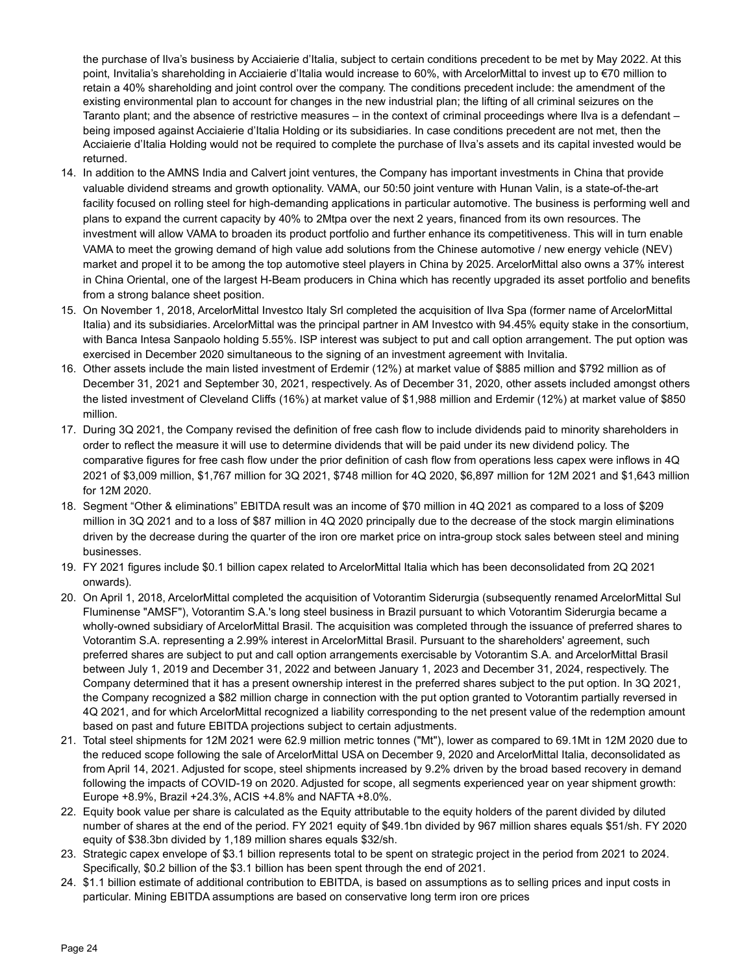the purchase of Ilva's business by Acciaierie d'Italia, subject to certain conditions precedent to be met by May 2022. At this point, Invitalia's shareholding in Acciaierie d'Italia would increase to 60%, with ArcelorMittal to invest up to €70 million to retain a 40% shareholding and joint control over the company. The conditions precedent include: the amendment of the existing environmental plan to account for changes in the new industrial plan; the lifting of all criminal seizures on the Taranto plant; and the absence of restrictive measures – in the context of criminal proceedings where Ilva is a defendant – being imposed against Acciaierie d'Italia Holding or its subsidiaries. In case conditions precedent are not met, then the Acciaierie d'Italia Holding would not be required to complete the purchase of Ilva's assets and its capital invested would be returned.

- 14. In addition to the AMNS India and Calvert joint ventures, the Company has important investments in China that provide valuable dividend streams and growth optionality. VAMA, our 50:50 joint venture with Hunan Valin, is a state-of-the-art facility focused on rolling steel for high-demanding applications in particular automotive. The business is performing well and plans to expand the current capacity by 40% to 2Mtpa over the next 2 years, financed from its own resources. The investment will allow VAMA to broaden its product portfolio and further enhance its competitiveness. This will in turn enable VAMA to meet the growing demand of high value add solutions from the Chinese automotive / new energy vehicle (NEV) market and propel it to be among the top automotive steel players in China by 2025. ArcelorMittal also owns a 37% interest in China Oriental, one of the largest H-Beam producers in China which has recently upgraded its asset portfolio and benefits from a strong balance sheet position.
- 15. On November 1, 2018, ArcelorMittal Investco Italy Srl completed the acquisition of Ilva Spa (former name of ArcelorMittal Italia) and its subsidiaries. ArcelorMittal was the principal partner in AM Investco with 94.45% equity stake in the consortium, with Banca Intesa Sanpaolo holding 5.55%. ISP interest was subject to put and call option arrangement. The put option was exercised in December 2020 simultaneous to the signing of an investment agreement with Invitalia.
- 16. Other assets include the main listed investment of Erdemir (12%) at market value of \$885 million and \$792 million as of December 31, 2021 and September 30, 2021, respectively. As of December 31, 2020, other assets included amongst others the listed investment of Cleveland Cliffs (16%) at market value of \$1,988 million and Erdemir (12%) at market value of \$850 million.
- 17. During 3Q 2021, the Company revised the definition of free cash flow to include dividends paid to minority shareholders in order to reflect the measure it will use to determine dividends that will be paid under its new dividend policy. The comparative figures for free cash flow under the prior definition of cash flow from operations less capex were inflows in 4Q 2021 of \$3,009 million, \$1,767 million for 3Q 2021, \$748 million for 4Q 2020, \$6,897 million for 12M 2021 and \$1,643 million for 12M 2020.
- 18. Segment "Other & eliminations" EBITDA result was an income of \$70 million in 4Q 2021 as compared to a loss of \$209 million in 3Q 2021 and to a loss of \$87 million in 4Q 2020 principally due to the decrease of the stock margin eliminations driven by the decrease during the quarter of the iron ore market price on intra-group stock sales between steel and mining businesses.
- 19. FY 2021 figures include \$0.1 billion capex related to ArcelorMittal Italia which has been deconsolidated from 2Q 2021 onwards).
- 20. On April 1, 2018, ArcelorMittal completed the acquisition of Votorantim Siderurgia (subsequently renamed ArcelorMittal Sul Fluminense "AMSF"), Votorantim S.A.'s long steel business in Brazil pursuant to which Votorantim Siderurgia became a wholly-owned subsidiary of ArcelorMittal Brasil. The acquisition was completed through the issuance of preferred shares to Votorantim S.A. representing a 2.99% interest in ArcelorMittal Brasil. Pursuant to the shareholders' agreement, such preferred shares are subject to put and call option arrangements exercisable by Votorantim S.A. and ArcelorMittal Brasil between July 1, 2019 and December 31, 2022 and between January 1, 2023 and December 31, 2024, respectively. The Company determined that it has a present ownership interest in the preferred shares subject to the put option. In 3Q 2021, the Company recognized a \$82 million charge in connection with the put option granted to Votorantim partially reversed in 4Q 2021, and for which ArcelorMittal recognized a liability corresponding to the net present value of the redemption amount based on past and future EBITDA projections subject to certain adjustments.
- 21. Total steel shipments for 12M 2021 were 62.9 million metric tonnes ("Mt"), lower as compared to 69.1Mt in 12M 2020 due to the reduced scope following the sale of ArcelorMittal USA on December 9, 2020 and ArcelorMittal Italia, deconsolidated as from April 14, 2021. Adjusted for scope, steel shipments increased by 9.2% driven by the broad based recovery in demand following the impacts of COVID-19 on 2020. Adjusted for scope, all segments experienced year on year shipment growth: Europe +8.9%, Brazil +24.3%, ACIS +4.8% and NAFTA +8.0%.
- 22. Equity book value per share is calculated as the Equity attributable to the equity holders of the parent divided by diluted number of shares at the end of the period. FY 2021 equity of \$49.1bn divided by 967 million shares equals \$51/sh. FY 2020 equity of \$38.3bn divided by 1,189 million shares equals \$32/sh.
- 23. Strategic capex envelope of \$3.1 billion represents total to be spent on strategic project in the period from 2021 to 2024. Specifically, \$0.2 billion of the \$3.1 billion has been spent through the end of 2021.
- 24. \$1.1 billion estimate of additional contribution to EBITDA, is based on assumptions as to selling prices and input costs in particular. Mining EBITDA assumptions are based on conservative long term iron ore prices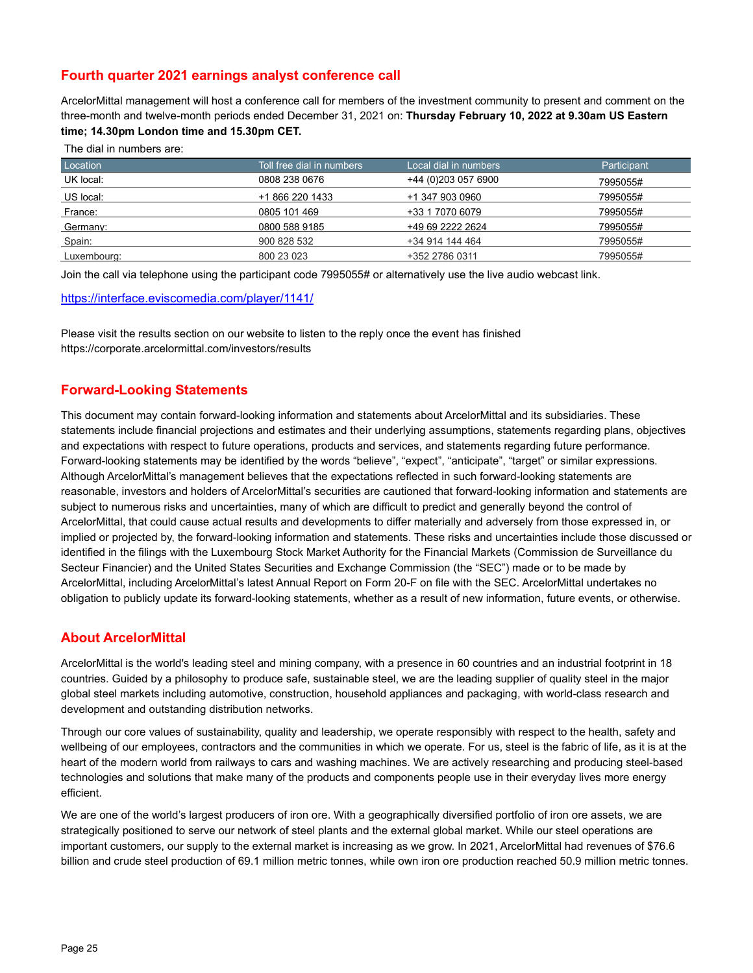## **Fourth quarter 2021 earnings analyst conference call**

ArcelorMittal management will host a conference call for members of the investment community to present and comment on the three-month and twelve-month periods ended December 31, 2021 on: **Thursday February 10, 2022 at 9.30am US Eastern time; 14.30pm London time and 15.30pm CET.** 

The dial in numbers are:

| Location    | Toll free dial in numbers | Local dial in numbers | Participant |
|-------------|---------------------------|-----------------------|-------------|
| UK local:   | 0808 238 0676             | +44 (0)203 057 6900   | 7995055#    |
| US local:   | +1 866 220 1433           | +1 347 903 0960       | 7995055#    |
| France:     | 0805 101 469              | +33 1 7070 6079       | 7995055#    |
| Germany:    | 0800 588 9185             | +49 69 2222 2624      | 7995055#    |
| Spain:      | 900 828 532               | +34 914 144 464       | 7995055#    |
| Luxembourg: | 800 23 023                | +352 2786 0311        | 7995055#    |

Join the call via telephone using the participant code 7995055# or alternatively use the live audio webcast link.

#### [https://interface.eviscomedia.com/player/1141/](https://urldefense.com/v3/__https:/interface.eviscomedia.com/player/1141/__;!!AB_04_y_3-SRqw!uijjGUKOJLqjQzCTW4FQIrzUoFaXI3HFELJGyhWc9XvLP-Ipvlpq7KUmjkgbIfgyXH9pnw$)

Please visit the results section on our website to listen to the reply once the event has finished <https://corporate.arcelormittal.com/investors/results>

### **Forward-Looking Statements**

This document may contain forward-looking information and statements about ArcelorMittal and its subsidiaries. These statements include financial projections and estimates and their underlying assumptions, statements regarding plans, objectives and expectations with respect to future operations, products and services, and statements regarding future performance. Forward-looking statements may be identified by the words "believe", "expect", "anticipate", "target" or similar expressions. Although ArcelorMittal's management believes that the expectations reflected in such forward-looking statements are reasonable, investors and holders of ArcelorMittal's securities are cautioned that forward-looking information and statements are subject to numerous risks and uncertainties, many of which are difficult to predict and generally beyond the control of ArcelorMittal, that could cause actual results and developments to differ materially and adversely from those expressed in, or implied or projected by, the forward-looking information and statements. These risks and uncertainties include those discussed or identified in the filings with the Luxembourg Stock Market Authority for the Financial Markets (Commission de Surveillance du Secteur Financier) and the United States Securities and Exchange Commission (the "SEC") made or to be made by ArcelorMittal, including ArcelorMittal's latest Annual Report on Form 20-F on file with the SEC. ArcelorMittal undertakes no obligation to publicly update its forward-looking statements, whether as a result of new information, future events, or otherwise.

#### **About ArcelorMittal**

ArcelorMittal is the world's leading steel and mining company, with a presence in 60 countries and an industrial footprint in 18 countries. Guided by a philosophy to produce safe, sustainable steel, we are the leading supplier of quality steel in the major global steel markets including automotive, construction, household appliances and packaging, with world-class research and development and outstanding distribution networks.

Through our core values of sustainability, quality and leadership, we operate responsibly with respect to the health, safety and wellbeing of our employees, contractors and the communities in which we operate. For us, steel is the fabric of life, as it is at the heart of the modern world from railways to cars and washing machines. We are actively researching and producing steel-based technologies and solutions that make many of the products and components people use in their everyday lives more energy efficient.

We are one of the world's largest producers of iron ore. With a geographically diversified portfolio of iron ore assets, we are strategically positioned to serve our network of steel plants and the external global market. While our steel operations are important customers, our supply to the external market is increasing as we grow. In 2021, ArcelorMittal had revenues of \$76.6 billion and crude steel production of 69.1 million metric tonnes, while own iron ore production reached 50.9 million metric tonnes.